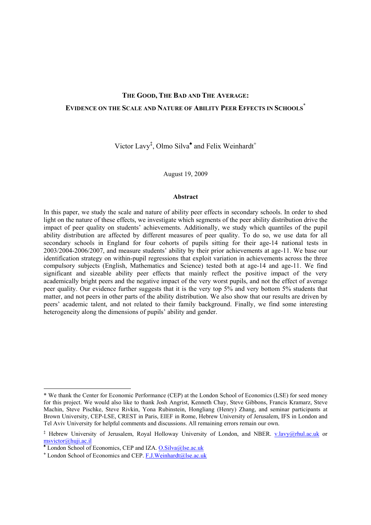# **THE GOOD, THE BAD AND THE AVERAGE: EVIDENCE ON THE SCALE AND NATURE OF ABILITY PEER EFFECTS IN SCHOOLS**\*

Victor Lavy<sup>‡</sup>, Olmo Silva<sup> $\triangle$ </sup> and Felix Weinhardt<sup>+</sup>

August 19, 2009

#### **Abstract**

In this paper, we study the scale and nature of ability peer effects in secondary schools. In order to shed light on the nature of these effects, we investigate which segments of the peer ability distribution drive the impact of peer quality on students' achievements. Additionally, we study which quantiles of the pupil ability distribution are affected by different measures of peer quality. To do so, we use data for all secondary schools in England for four cohorts of pupils sitting for their age-14 national tests in 2003/2004-2006/2007, and measure students' ability by their prior achievements at age-11. We base our identification strategy on within-pupil regressions that exploit variation in achievements across the three compulsory subjects (English, Mathematics and Science) tested both at age-14 and age-11. We find significant and sizeable ability peer effects that mainly reflect the positive impact of the very academically bright peers and the negative impact of the very worst pupils, and not the effect of average peer quality. Our evidence further suggests that it is the very top 5% and very bottom 5% students that matter, and not peers in other parts of the ability distribution. We also show that our results are driven by peers' academic talent, and not related to their family background. Finally, we find some interesting heterogeneity along the dimensions of pupils' ability and gender.

1

<sup>\*</sup> We thank the Center for Economic Performance (CEP) at the London School of Economics (LSE) for seed money for this project. We would also like to thank Josh Angrist, Kenneth Chay, Steve Gibbons, Francis Kramarz, Steve Machin, Steve Pischke, Steve Rivkin, Yona Rubinstein, Hongliang (Henry) Zhang, and seminar participants at Brown University, CEP-LSE, CREST in Paris, EIEF in Rome, Hebrew University of Jerusalem, IFS in London and Tel Aviv University for helpful comments and discussions. All remaining errors remain our own.

<sup>&</sup>lt;sup>‡</sup> Hebrew University of Jerusalem, Royal Holloway University of London, and NBER. v.lavy@rhul.ac.uk or msvictor@huji.ac.il **♠** London School of Economics, CEP and IZA. O.Silva@lse.ac.uk

<sup>&</sup>lt;sup>+</sup> London School of Economics and CEP. F.J.Weinhardt@lse.ac.uk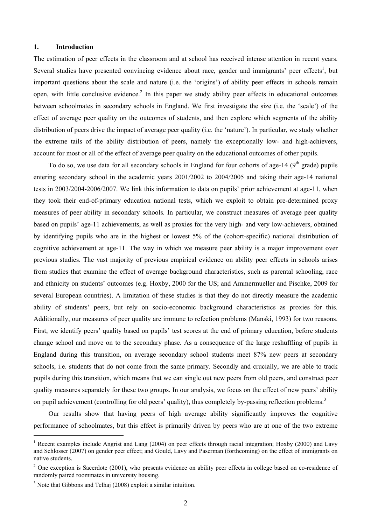## **1. Introduction**

The estimation of peer effects in the classroom and at school has received intense attention in recent years. Several studies have presented convincing evidence about race, gender and immigrants' peer effects<sup>1</sup>, but important questions about the scale and nature (i.e. the 'origins') of ability peer effects in schools remain open, with little conclusive evidence.<sup>2</sup> In this paper we study ability peer effects in educational outcomes between schoolmates in secondary schools in England. We first investigate the size (i.e. the 'scale') of the effect of average peer quality on the outcomes of students, and then explore which segments of the ability distribution of peers drive the impact of average peer quality (i.e. the 'nature'). In particular, we study whether the extreme tails of the ability distribution of peers, namely the exceptionally low- and high-achievers, account for most or all of the effect of average peer quality on the educational outcomes of other pupils.

To do so, we use data for all secondary schools in England for four cohorts of age-14 ( $9<sup>th</sup>$  grade) pupils entering secondary school in the academic years 2001/2002 to 2004/2005 and taking their age-14 national tests in 2003/2004-2006/2007. We link this information to data on pupils' prior achievement at age-11, when they took their end-of-primary education national tests, which we exploit to obtain pre-determined proxy measures of peer ability in secondary schools. In particular, we construct measures of average peer quality based on pupils' age-11 achievements, as well as proxies for the very high- and very low-achievers, obtained by identifying pupils who are in the highest or lowest 5% of the (cohort-specific) national distribution of cognitive achievement at age-11. The way in which we measure peer ability is a major improvement over previous studies. The vast majority of previous empirical evidence on ability peer effects in schools arises from studies that examine the effect of average background characteristics, such as parental schooling, race and ethnicity on students' outcomes (e.g. Hoxby, 2000 for the US; and Ammermueller and Pischke, 2009 for several European countries). A limitation of these studies is that they do not directly measure the academic ability of students' peers, but rely on socio-economic background characteristics as proxies for this. Additionally, our measures of peer quality are immune to refection problems (Manski, 1993) for two reasons. First, we identify peers' quality based on pupils' test scores at the end of primary education, before students change school and move on to the secondary phase. As a consequence of the large reshuffling of pupils in England during this transition, on average secondary school students meet 87% new peers at secondary schools, i.e. students that do not come from the same primary. Secondly and crucially, we are able to track pupils during this transition, which means that we can single out new peers from old peers, and construct peer quality measures separately for these two groups. In our analysis, we focus on the effect of new peers' ability on pupil achievement (controlling for old peers' quality), thus completely by-passing reflection problems.<sup>3</sup>

Our results show that having peers of high average ability significantly improves the cognitive performance of schoolmates, but this effect is primarily driven by peers who are at one of the two extreme

 $\overline{a}$ 

<sup>&</sup>lt;sup>1</sup> Recent examples include Angrist and Lang (2004) on peer effects through racial integration; Hoxby (2000) and Lavy and Schlosser (2007) on gender peer effect; and Gould, Lavy and Paserman (forthcoming) on the effect of immigrants on native students.

 $2$  One exception is Sacerdote (2001), who presents evidence on ability peer effects in college based on co-residence of randomly paired roommates in university housing.

 $3$  Note that Gibbons and Telhaj (2008) exploit a similar intuition.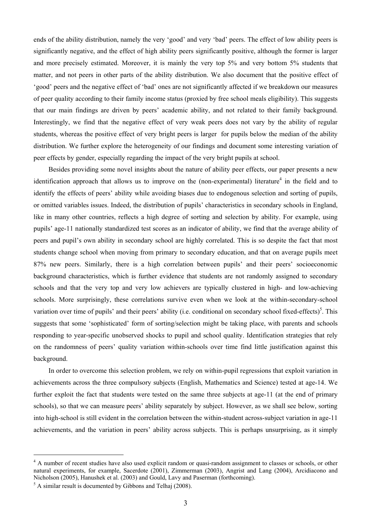ends of the ability distribution, namely the very 'good' and very 'bad' peers. The effect of low ability peers is significantly negative, and the effect of high ability peers significantly positive, although the former is larger and more precisely estimated. Moreover, it is mainly the very top 5% and very bottom 5% students that matter, and not peers in other parts of the ability distribution. We also document that the positive effect of 'good' peers and the negative effect of 'bad' ones are not significantly affected if we breakdown our measures of peer quality according to their family income status (proxied by free school meals eligibility). This suggests that our main findings are driven by peers' academic ability, and not related to their family background. Interestingly, we find that the negative effect of very weak peers does not vary by the ability of regular students, whereas the positive effect of very bright peers is larger for pupils below the median of the ability distribution. We further explore the heterogeneity of our findings and document some interesting variation of peer effects by gender, especially regarding the impact of the very bright pupils at school.

Besides providing some novel insights about the nature of ability peer effects, our paper presents a new identification approach that allows us to improve on the (non-experimental) literature<sup>4</sup> in the field and to identify the effects of peers' ability while avoiding biases due to endogenous selection and sorting of pupils, or omitted variables issues. Indeed, the distribution of pupils' characteristics in secondary schools in England, like in many other countries, reflects a high degree of sorting and selection by ability. For example, using pupils' age-11 nationally standardized test scores as an indicator of ability, we find that the average ability of peers and pupil's own ability in secondary school are highly correlated. This is so despite the fact that most students change school when moving from primary to secondary education, and that on average pupils meet 87% new peers. Similarly, there is a high correlation between pupils' and their peers' socioeconomic background characteristics, which is further evidence that students are not randomly assigned to secondary schools and that the very top and very low achievers are typically clustered in high- and low-achieving schools. More surprisingly, these correlations survive even when we look at the within-secondary-school variation over time of pupils' and their peers' ability (i.e. conditional on secondary school fixed-effects)<sup>5</sup>. This suggests that some 'sophisticated' form of sorting/selection might be taking place, with parents and schools responding to year-specific unobserved shocks to pupil and school quality. Identification strategies that rely on the randomness of peers' quality variation within-schools over time find little justification against this background.

In order to overcome this selection problem, we rely on within-pupil regressions that exploit variation in achievements across the three compulsory subjects (English, Mathematics and Science) tested at age-14. We further exploit the fact that students were tested on the same three subjects at age-11 (at the end of primary schools), so that we can measure peers' ability separately by subject. However, as we shall see below, sorting into high-school is still evident in the correlation between the within-student across-subject variation in age-11 achievements, and the variation in peers' ability across subjects. This is perhaps unsurprising, as it simply

 $\overline{a}$ 

<sup>&</sup>lt;sup>4</sup> A number of recent studies have also used explicit random or quasi-random assignment to classes or schools, or other natural experiments, for example, Sacerdote (2001), Zimmerman (2003), Angrist and Lang (2004), Arcidiacono and Nicholson (2005), Hanushek et al. (2003) and Gould, Lavy and Paserman (forthcoming).

 $<sup>5</sup>$  A similar result is documented by Gibbons and Telhaj (2008).</sup>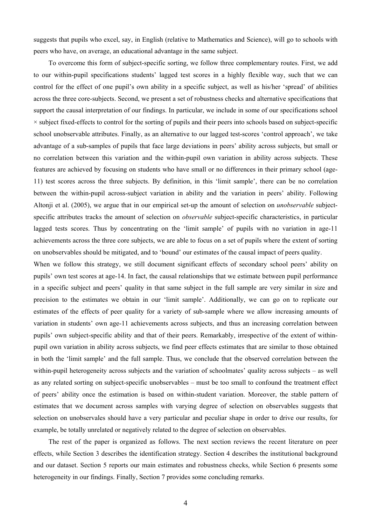suggests that pupils who excel, say, in English (relative to Mathematics and Science), will go to schools with peers who have, on average, an educational advantage in the same subject.

To overcome this form of subject-specific sorting, we follow three complementary routes. First, we add to our within-pupil specifications students' lagged test scores in a highly flexible way, such that we can control for the effect of one pupil's own ability in a specific subject, as well as his/her 'spread' of abilities across the three core-subjects. Second, we present a set of robustness checks and alternative specifications that support the causal interpretation of our findings. In particular, we include in some of our specifications school  $\times$  subject fixed-effects to control for the sorting of pupils and their peers into schools based on subject-specific school unobservable attributes. Finally, as an alternative to our lagged test-scores 'control approach', we take advantage of a sub-samples of pupils that face large deviations in peers' ability across subjects, but small or no correlation between this variation and the within-pupil own variation in ability across subjects. These features are achieved by focusing on students who have small or no differences in their primary school (age-11) test scores across the three subjects. By definition, in this 'limit sample', there can be no correlation between the within-pupil across-subject variation in ability and the variation in peers' ability. Following Altonii et al. (2005), we argue that in our empirical set-up the amount of selection on *unobservable* subjectspecific attributes tracks the amount of selection on *observable* subject-specific characteristics, in particular lagged tests scores. Thus by concentrating on the 'limit sample' of pupils with no variation in age-11 achievements across the three core subjects, we are able to focus on a set of pupils where the extent of sorting on unobservables should be mitigated, and to 'bound' our estimates of the causal impact of peers quality.

When we follow this strategy, we still document significant effects of secondary school peers' ability on pupils' own test scores at age-14. In fact, the causal relationships that we estimate between pupil performance in a specific subject and peers' quality in that same subject in the full sample are very similar in size and precision to the estimates we obtain in our 'limit sample'. Additionally, we can go on to replicate our estimates of the effects of peer quality for a variety of sub-sample where we allow increasing amounts of variation in students' own age-11 achievements across subjects, and thus an increasing correlation between pupils' own subject-specific ability and that of their peers. Remarkably, irrespective of the extent of withinpupil own variation in ability across subjects, we find peer effects estimates that are similar to those obtained in both the 'limit sample' and the full sample. Thus, we conclude that the observed correlation between the within-pupil heterogeneity across subjects and the variation of schoolmates' quality across subjects – as well as any related sorting on subject-specific unobservables – must be too small to confound the treatment effect of peers' ability once the estimation is based on within-student variation. Moreover, the stable pattern of estimates that we document across samples with varying degree of selection on observables suggests that selection on unobservales should have a very particular and peculiar shape in order to drive our results, for example, be totally unrelated or negatively related to the degree of selection on observables.

The rest of the paper is organized as follows. The next section reviews the recent literature on peer effects, while Section 3 describes the identification strategy. Section 4 describes the institutional background and our dataset. Section 5 reports our main estimates and robustness checks, while Section 6 presents some heterogeneity in our findings. Finally, Section 7 provides some concluding remarks.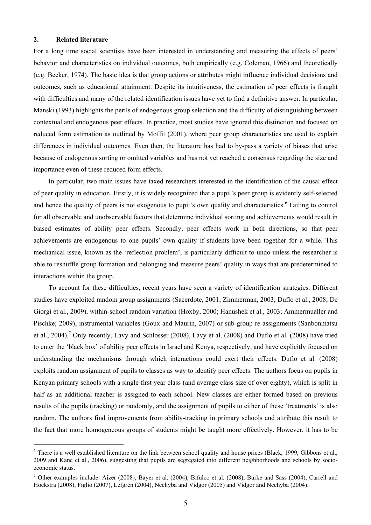## **2. Related literature**

 $\overline{a}$ 

For a long time social scientists have been interested in understanding and measuring the effects of peers' behavior and characteristics on individual outcomes, both empirically (e.g. Coleman, 1966) and theoretically (e.g. Becker, 1974). The basic idea is that group actions or attributes might influence individual decisions and outcomes, such as educational attainment. Despite its intuitiveness, the estimation of peer effects is fraught with difficulties and many of the related identification issues have yet to find a definitive answer. In particular, Manski (1993) highlights the perils of endogenous group selection and the difficulty of distinguishing between contextual and endogenous peer effects. In practice, most studies have ignored this distinction and focused on reduced form estimation as outlined by Moffit (2001), where peer group characteristics are used to explain differences in individual outcomes. Even then, the literature has had to by-pass a variety of biases that arise because of endogenous sorting or omitted variables and has not yet reached a consensus regarding the size and importance even of these reduced form effects.

In particular, two main issues have taxed researchers interested in the identification of the causal effect of peer quality in education. Firstly, it is widely recognized that a pupil's peer group is evidently self-selected and hence the quality of peers is not exogenous to pupil's own quality and characteristics.<sup>6</sup> Failing to control for all observable and unobservable factors that determine individual sorting and achievements would result in biased estimates of ability peer effects. Secondly, peer effects work in both directions, so that peer achievements are endogenous to one pupils' own quality if students have been together for a while. This mechanical issue, known as the 'reflection problem', is particularly difficult to undo unless the researcher is able to reshuffle group formation and belonging and measure peers' quality in ways that are predetermined to interactions within the group.

To account for these difficulties, recent years have seen a variety of identification strategies. Different studies have exploited random group assignments (Sacerdote, 2001; Zimmerman, 2003; Duflo et al., 2008; De Giorgi et al., 2009), within-school random variation (Hoxby, 2000; Hanushek et al., 2003; Ammermualler and Pischke; 2009), instrumental variables (Goux and Maurin, 2007) or sub-group re-assignments (Sanbonmatsu et al., 2004).<sup>7</sup> Only recently, Lavy and Schlosser (2008), Lavy et al. (2008) and Duflo et al. (2008) have tried to enter the 'black box' of ability peer effects in Israel and Kenya, respectively, and have explicitly focused on understanding the mechanisms through which interactions could exert their effects. Duflo et al. (2008) exploits random assignment of pupils to classes as way to identify peer effects. The authors focus on pupils in Kenyan primary schools with a single first year class (and average class size of over eighty), which is split in half as an additional teacher is assigned to each school. New classes are either formed based on previous results of the pupils (tracking) or randomly, and the assignment of pupils to either of these 'treatments' is also random. The authors find improvements from ability-tracking in primary schools and attribute this result to the fact that more homogeneous groups of students might be taught more effectively. However, it has to be

<sup>&</sup>lt;sup>6</sup> There is a well established literature on the link between school quality and house prices (Black, 1999, Gibbons et al., 2009 and Kane et al., 2006), suggesting that pupils are segregated into different neighborhoods and schools by socioeconomic status.

<sup>&</sup>lt;sup>7</sup> Other examples include: Aizer (2008), Bayer et al. (2004), Bifulco et al. (2008), Burke and Sass (2004), Carrell and Hoekstra (2008), Figlio (2007), Lefgren (2004), Nechyba and Vidgor (2005) and Vidgor and Nechyba (2004).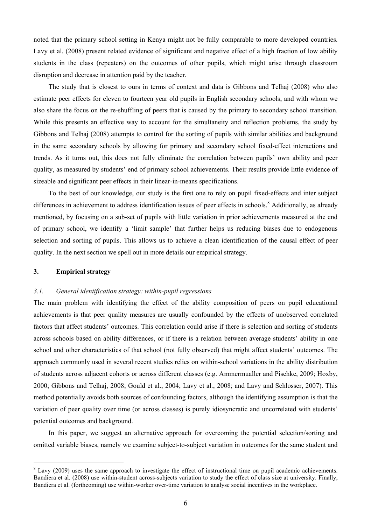noted that the primary school setting in Kenya might not be fully comparable to more developed countries. Lavy et al. (2008) present related evidence of significant and negative effect of a high fraction of low ability students in the class (repeaters) on the outcomes of other pupils, which might arise through classroom disruption and decrease in attention paid by the teacher.

The study that is closest to ours in terms of context and data is Gibbons and Telhaj (2008) who also estimate peer effects for eleven to fourteen year old pupils in English secondary schools, and with whom we also share the focus on the re-shuffling of peers that is caused by the primary to secondary school transition. While this presents an effective way to account for the simultaneity and reflection problems, the study by Gibbons and Telhaj (2008) attempts to control for the sorting of pupils with similar abilities and background in the same secondary schools by allowing for primary and secondary school fixed-effect interactions and trends. As it turns out, this does not fully eliminate the correlation between pupils' own ability and peer quality, as measured by students' end of primary school achievements. Their results provide little evidence of sizeable and significant peer effects in their linear-in-means specifications.

To the best of our knowledge, our study is the first one to rely on pupil fixed-effects and inter subject differences in achievement to address identification issues of peer effects in schools.<sup>8</sup> Additionally, as already mentioned, by focusing on a sub-set of pupils with little variation in prior achievements measured at the end of primary school, we identify a 'limit sample' that further helps us reducing biases due to endogenous selection and sorting of pupils. This allows us to achieve a clean identification of the causal effect of peer quality. In the next section we spell out in more details our empirical strategy.

## **3. Empirical strategy**

 $\overline{a}$ 

# *3.1. General identification strategy: within-pupil regressions*

The main problem with identifying the effect of the ability composition of peers on pupil educational achievements is that peer quality measures are usually confounded by the effects of unobserved correlated factors that affect students' outcomes. This correlation could arise if there is selection and sorting of students across schools based on ability differences, or if there is a relation between average students' ability in one school and other characteristics of that school (not fully observed) that might affect students' outcomes. The approach commonly used in several recent studies relies on within-school variations in the ability distribution of students across adjacent cohorts or across different classes (e.g. Ammermualler and Pischke, 2009; Hoxby, 2000; Gibbons and Telhaj, 2008; Gould et al., 2004; Lavy et al., 2008; and Lavy and Schlosser, 2007). This method potentially avoids both sources of confounding factors, although the identifying assumption is that the variation of peer quality over time (or across classes) is purely idiosyncratic and uncorrelated with students' potential outcomes and background.

In this paper, we suggest an alternative approach for overcoming the potential selection/sorting and omitted variable biases, namely we examine subject-to-subject variation in outcomes for the same student and

 $8$  Lavy (2009) uses the same approach to investigate the effect of instructional time on pupil academic achievements. Bandiera et al. (2008) use within-student across-subjects variation to study the effect of class size at university. Finally, Bandiera et al. (forthcoming) use within-worker over-time variation to analyse social incentives in the workplace.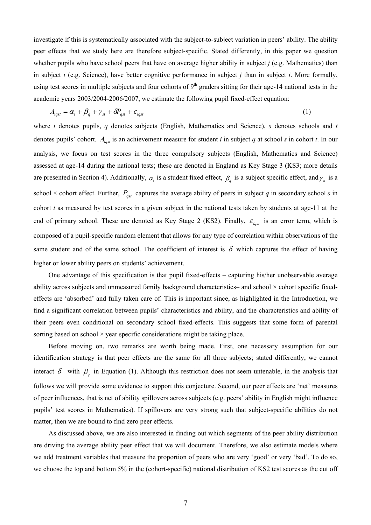investigate if this is systematically associated with the subject-to-subject variation in peers' ability. The ability peer effects that we study here are therefore subject-specific. Stated differently, in this paper we question whether pupils who have school peers that have on average higher ability in subject *j* (e.g. Mathematics) than in subject *i* (e.g. Science), have better cognitive performance in subject *j* than in subject *i*. More formally, using test scores in multiple subjects and four cohorts of  $9<sup>th</sup>$  graders sitting for their age-14 national tests in the academic years 2003/2004-2006/2007, we estimate the following pupil fixed-effect equation:

$$
A_{\text{igst}} = \alpha_i + \beta_q + \gamma_{st} + \delta P_{\text{gst}} + \varepsilon_{\text{igst}} \tag{1}
$$

where *i* denotes pupils, *q* denotes subjects (English, Mathematics and Science), *s* denotes schools and *t* denotes pupils' cohort.  $A_{\text{last}}$  is an achievement measure for student *i* in subject *q* at school *s* in cohort *t*. In our analysis, we focus on test scores in the three compulsory subjects (English, Mathematics and Science) assessed at age-14 during the national tests; these are denoted in England as Key Stage 3 (KS3; more details are presented in Section 4). Additionally,  $\alpha_i$  is a student fixed effect,  $\beta_q$  is a subject specific effect, and  $\gamma_{st}$  is a school  $\times$  cohort effect. Further,  $P_{\text{gst}}$  captures the average ability of peers in subject *q* in secondary school *s* in cohort *t* as measured by test scores in a given subject in the national tests taken by students at age-11 at the end of primary school. These are denoted as Key Stage 2 (KS2). Finally,  $\varepsilon_{\text{igst}}$  is an error term, which is composed of a pupil-specific random element that allows for any type of correlation within observations of the same student and of the same school. The coefficient of interest is  $\delta$  which captures the effect of having higher or lower ability peers on students' achievement.

One advantage of this specification is that pupil fixed-effects – capturing his/her unobservable average ability across subjects and unmeasured family background characteristics– and school × cohort specific fixedeffects are 'absorbed' and fully taken care of. This is important since, as highlighted in the Introduction, we find a significant correlation between pupils' characteristics and ability, and the characteristics and ability of their peers even conditional on secondary school fixed-effects. This suggests that some form of parental sorting based on school  $\times$  year specific considerations might be taking place.

Before moving on, two remarks are worth being made. First, one necessary assumption for our identification strategy is that peer effects are the same for all three subjects; stated differently, we cannot interact  $\delta$  with  $\beta$ <sub>*q*</sub> in Equation (1). Although this restriction does not seem untenable, in the analysis that follows we will provide some evidence to support this conjecture. Second, our peer effects are 'net' measures of peer influences, that is net of ability spillovers across subjects (e.g. peers' ability in English might influence pupils' test scores in Mathematics). If spillovers are very strong such that subject-specific abilities do not matter, then we are bound to find zero peer effects.

As discussed above, we are also interested in finding out which segments of the peer ability distribution are driving the average ability peer effect that we will document. Therefore, we also estimate models where we add treatment variables that measure the proportion of peers who are very 'good' or very 'bad'. To do so, we choose the top and bottom 5% in the (cohort-specific) national distribution of KS2 test scores as the cut off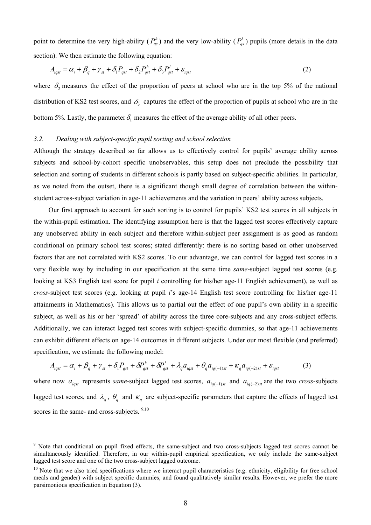point to determine the very high-ability ( $P_{qs}^h$ ) and the very low-ability ( $P_{qs}^l$ ) pupils (more details in the data section). We then estimate the following equation:

$$
A_{\text{igst}} = \alpha_i + \beta_q + \gamma_{st} + \delta_1 P_{\text{gst}} + \delta_2 P_{\text{gst}}^h + \delta_3 P_{\text{gst}}^l + \varepsilon_{\text{igst}} \tag{2}
$$

where  $\delta$ , measures the effect of the proportion of peers at school who are in the top 5% of the national distribution of KS2 test scores, and  $\delta_3$  captures the effect of the proportion of pupils at school who are in the bottom 5%. Lastly, the parameter  $\delta_1$  measures the effect of the average ability of all other peers.

## *3.2. Dealing with subject-specific pupil sorting and school selection*

Although the strategy described so far allows us to effectively control for pupils' average ability across subjects and school-by-cohort specific unobservables, this setup does not preclude the possibility that selection and sorting of students in different schools is partly based on subject-specific abilities. In particular, as we noted from the outset, there is a significant though small degree of correlation between the withinstudent across-subject variation in age-11 achievements and the variation in peers' ability across subjects.

Our first approach to account for such sorting is to control for pupils' KS2 test scores in all subjects in the within-pupil estimation. The identifying assumption here is that the lagged test scores effectively capture any unobserved ability in each subject and therefore within-subject peer assignment is as good as random conditional on primary school test scores; stated differently: there is no sorting based on other unobserved factors that are not correlated with KS2 scores. To our advantage, we can control for lagged test scores in a very flexible way by including in our specification at the same time *same*-subject lagged test scores (e.g. looking at KS3 English test score for pupil *i* controlling for his/her age-11 English achievement), as well as *cross*-subject test scores (e.g. looking at pupil *i*'s age-14 English test score controlling for his/her age-11 attainments in Mathematics). This allows us to partial out the effect of one pupil's own ability in a specific subject, as well as his or her 'spread' of ability across the three core-subjects and any cross-subject effects. Additionally, we can interact lagged test scores with subject-specific dummies, so that age-11 achievements can exhibit different effects on age-14 outcomes in different subjects. Under our most flexible (and preferred) specification, we estimate the following model:

$$
A_{\text{igst}} = \alpha_i + \beta_q + \gamma_{st} + \delta_1 P_{\text{gst}} + \delta P_{\text{gst}}^h + \delta P_{\text{gst}}^l + \lambda_q a_{\text{igst}} + \theta_q a_{\text{iq}(-1)st} + \kappa_q a_{\text{iq}(-2)st} + \varepsilon_{\text{igst}}
$$
(3)

where now  $a_{\text{last}}$  represents *same*-subject lagged test scores,  $a_{\text{ia}(-1)st}$  and  $a_{\text{ia}(-2)st}$  are the two *cross*-subjects lagged test scores, and  $\lambda_q$ ,  $\theta_q$  and  $\kappa_q$  are subject-specific parameters that capture the effects of lagged test scores in the same- and cross-subjects.  $9,10$ 

 $\overline{a}$ 

<sup>&</sup>lt;sup>9</sup> Note that conditional on pupil fixed effects, the same-subject and two cross-subjects lagged test scores cannot be simultaneously identified. Therefore, in our within-pupil empirical specification, we only include the same-subject lagged test score and one of the two cross-subject lagged outcome.

 $10$  Note that we also tried specifications where we interact pupil characteristics (e.g. ethnicity, eligibility for free school meals and gender) with subject specific dummies, and found qualitatively similar results. However, we prefer the more parsimonious specification in Equation (3).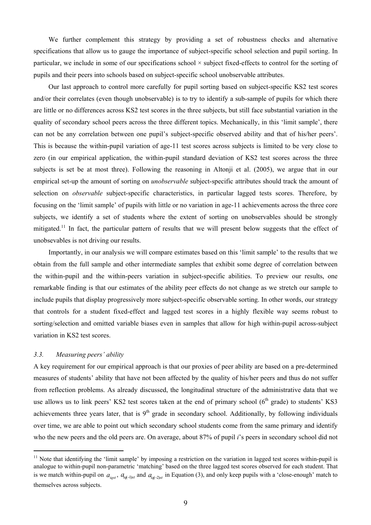We further complement this strategy by providing a set of robustness checks and alternative specifications that allow us to gauge the importance of subject-specific school selection and pupil sorting. In particular, we include in some of our specifications school × subject fixed-effects to control for the sorting of pupils and their peers into schools based on subject-specific school unobservable attributes.

Our last approach to control more carefully for pupil sorting based on subject-specific KS2 test scores and/or their correlates (even though unobservable) is to try to identify a sub-sample of pupils for which there are little or no differences across KS2 test scores in the three subjects, but still face substantial variation in the quality of secondary school peers across the three different topics. Mechanically, in this 'limit sample', there can not be any correlation between one pupil's subject-specific observed ability and that of his/her peers'. This is because the within-pupil variation of age-11 test scores across subjects is limited to be very close to zero (in our empirical application, the within-pupil standard deviation of KS2 test scores across the three subjects is set be at most three). Following the reasoning in Altonji et al. (2005), we argue that in our empirical set-up the amount of sorting on *unobservable* subject-specific attributes should track the amount of selection on *observable* subject-specific characteristics, in particular lagged tests scores. Therefore, by focusing on the 'limit sample' of pupils with little or no variation in age-11 achievements across the three core subjects, we identify a set of students where the extent of sorting on unobservables should be strongly mitigated.<sup>11</sup> In fact, the particular pattern of results that we will present below suggests that the effect of unobsevables is not driving our results.

Importantly, in our analysis we will compare estimates based on this 'limit sample' to the results that we obtain from the full sample and other intermediate samples that exhibit some degree of correlation between the within-pupil and the within-peers variation in subject-specific abilities. To preview our results, one remarkable finding is that our estimates of the ability peer effects do not change as we stretch our sample to include pupils that display progressively more subject-specific observable sorting. In other words, our strategy that controls for a student fixed-effect and lagged test scores in a highly flexible way seems robust to sorting/selection and omitted variable biases even in samples that allow for high within-pupil across-subject variation in KS2 test scores.

# *3.3. Measuring peers' ability*

 $\overline{a}$ 

A key requirement for our empirical approach is that our proxies of peer ability are based on a pre-determined measures of students' ability that have not been affected by the quality of his/her peers and thus do not suffer from reflection problems. As already discussed, the longitudinal structure of the administrative data that we use allows us to link peers' KS2 test scores taken at the end of primary school  $6^{th}$  grade) to students' KS3 achievements three years later, that is 9<sup>th</sup> grade in secondary school. Additionally, by following individuals over time, we are able to point out which secondary school students come from the same primary and identify who the new peers and the old peers are. On average, about 87% of pupil *i*'s peers in secondary school did not

<sup>&</sup>lt;sup>11</sup> Note that identifying the 'limit sample' by imposing a restriction on the variation in lagged test scores within-pupil is analogue to within-pupil non-parametric 'matching' based on the three lagged test scores observed for each student. That is we match within-pupil on  $a_{i,q}$ ,  $a_{i,q-1}$ <sub>*a*d-1)*st*</sub> and  $a_{i,q-2}$ *a* in Equation (3), and only keep pupils with a 'close-enough' match to themselves across subjects.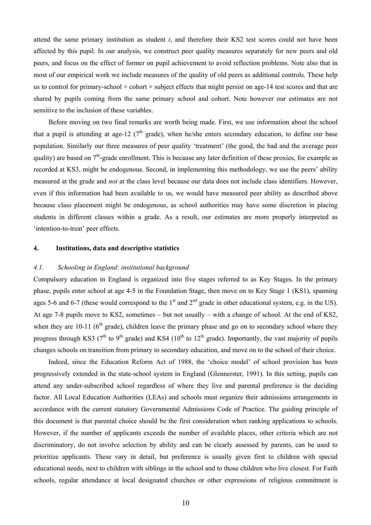attend the same primary institution as student *i*, and therefore their KS2 test scores could not have been affected by this pupil. In our analysis, we construct peer quality measures separately for new peers and old peers, and focus on the effect of former on pupil achievement to avoid reflection problems. Note also that in most of our empirical work we include measures of the quality of old peers as additional controls. These help us to control for primary-school  $\times$  cohort  $\times$  subject effects that might persist on age-14 test scores and that are shared by pupils coming from the same primary school and cohort. Note however our estimates are not sensitive to the inclusion of these variables.

Before moving on two final remarks are worth being made. First, we use information about the school that a pupil is attending at age-12 ( $7<sup>th</sup>$  grade), when he/she enters secondary education, to define our base population. Similarly our three measures of peer quality 'treatment' (the good, the bad and the average peer quality) are based on  $7<sup>th</sup>$ -grade enrollment. This is because any later definition of these proxies, for example as recorded at KS3, might be endogenous. Second, in implementing this methodology, we use the peers' ability measured at the grade and *not* at the class level because our data does not include class identifiers. However, even if this information had been available to us, we would have measured peer ability as described above because class placement might be endogenous, as school authorities may have some discretion in placing students in different classes within a grade. As a result, our estimates are more properly interpreted as 'intention-to-treat' peer effects.

#### **4. Institutions, data and descriptive statistics**

#### *4.1. Schooling in England: institutional background*

Compulsory education in England is organized into five stages referred to as Key Stages. In the primary phase, pupils enter school at age 4-5 in the Foundation Stage, then move on to Key Stage 1 (KS1), spanning ages 5-6 and 6-7 (these would correspond to the  $1<sup>st</sup>$  and  $2<sup>nd</sup>$  grade in other educational system, e.g. in the US). At age 7-8 pupils move to KS2, sometimes – but not usually – with a change of school. At the end of KS2, when they are 10-11 ( $6<sup>th</sup>$  grade), children leave the primary phase and go on to secondary school where they progress through KS3 ( $7<sup>th</sup>$  to  $9<sup>th</sup>$  grade) and KS4 ( $10<sup>th</sup>$  to  $12<sup>th</sup>$  grade). Importantly, the vast majority of pupils changes schools on transition from primary to secondary education, and move on to the school of their choice.

Indeed, since the Education Reform Act of 1988, the 'choice model' of school provision has been progressively extended in the state-school system in England (Glennerster, 1991). In this setting, pupils can attend any under-subscribed school regardless of where they live and parental preference is the deciding factor. All Local Education Authorities (LEAs) and schools must organize their admissions arrangements in accordance with the current statutory Governmental Admissions Code of Practice. The guiding principle of this document is that parental choice should be the first consideration when ranking applications to schools. However, if the number of applicants exceeds the number of available places, other criteria which are not discriminatory, do not involve selection by ability and can be clearly assessed by parents, can be used to prioritize applicants. These vary in detail, but preference is usually given first to children with special educational needs, next to children with siblings in the school and to those children who live closest. For Faith schools, regular attendance at local designated churches or other expressions of religious commitment is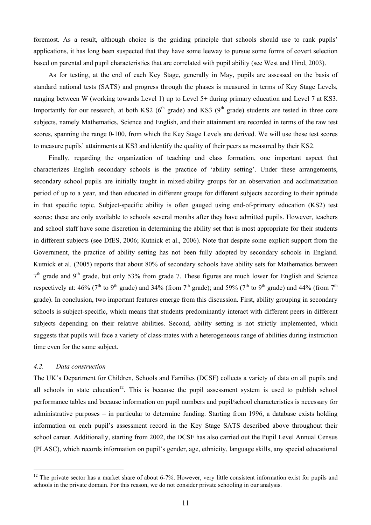foremost. As a result, although choice is the guiding principle that schools should use to rank pupils' applications, it has long been suspected that they have some leeway to pursue some forms of covert selection based on parental and pupil characteristics that are correlated with pupil ability (see West and Hind, 2003).

As for testing, at the end of each Key Stage, generally in May, pupils are assessed on the basis of standard national tests (SATS) and progress through the phases is measured in terms of Key Stage Levels, ranging between W (working towards Level 1) up to Level 5+ during primary education and Level 7 at KS3. Importantly for our research, at both KS2 ( $6<sup>th</sup>$  grade) and KS3 ( $9<sup>th</sup>$  grade) students are tested in three core subjects, namely Mathematics, Science and English, and their attainment are recorded in terms of the raw test scores, spanning the range 0-100, from which the Key Stage Levels are derived. We will use these test scores to measure pupils' attainments at KS3 and identify the quality of their peers as measured by their KS2.

Finally, regarding the organization of teaching and class formation, one important aspect that characterizes English secondary schools is the practice of 'ability setting'. Under these arrangements, secondary school pupils are initially taught in mixed-ability groups for an observation and acclimatization period of up to a year, and then educated in different groups for different subjects according to their aptitude in that specific topic. Subject-specific ability is often gauged using end-of-primary education (KS2) test scores; these are only available to schools several months after they have admitted pupils. However, teachers and school staff have some discretion in determining the ability set that is most appropriate for their students in different subjects (see DfES, 2006; Kutnick et al., 2006). Note that despite some explicit support from the Government, the practice of ability setting has not been fully adopted by secondary schools in England. Kutnick et al. (2005) reports that about 80% of secondary schools have ability sets for Mathematics between  $7<sup>th</sup>$  grade and  $9<sup>th</sup>$  grade, but only 53% from grade 7. These figures are much lower for English and Science respectively at: 46% (7<sup>th</sup> to 9<sup>th</sup> grade) and 34% (from 7<sup>th</sup> grade); and 59% (7<sup>th</sup> to 9<sup>th</sup> grade) and 44% (from 7<sup>th</sup> grade). In conclusion, two important features emerge from this discussion. First, ability grouping in secondary schools is subject-specific, which means that students predominantly interact with different peers in different subjects depending on their relative abilities. Second, ability setting is not strictly implemented, which suggests that pupils will face a variety of class-mates with a heterogeneous range of abilities during instruction time even for the same subject.

## *4.2. Data construction*

 $\overline{a}$ 

The UK's Department for Children, Schools and Families (DCSF) collects a variety of data on all pupils and all schools in state education<sup>12</sup>. This is because the pupil assessment system is used to publish school performance tables and because information on pupil numbers and pupil/school characteristics is necessary for administrative purposes – in particular to determine funding. Starting from 1996, a database exists holding information on each pupil's assessment record in the Key Stage SATS described above throughout their school career. Additionally, starting from 2002, the DCSF has also carried out the Pupil Level Annual Census (PLASC), which records information on pupil's gender, age, ethnicity, language skills, any special educational

 $12$  The private sector has a market share of about 6-7%. However, very little consistent information exist for pupils and schools in the private domain. For this reason, we do not consider private schooling in our analysis.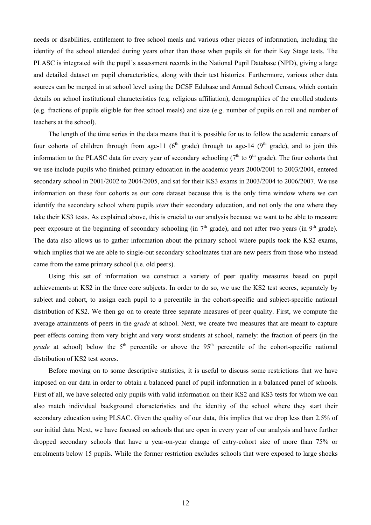needs or disabilities, entitlement to free school meals and various other pieces of information, including the identity of the school attended during years other than those when pupils sit for their Key Stage tests. The PLASC is integrated with the pupil's assessment records in the National Pupil Database (NPD), giving a large and detailed dataset on pupil characteristics, along with their test histories. Furthermore, various other data sources can be merged in at school level using the DCSF Edubase and Annual School Census, which contain details on school institutional characteristics (e.g. religious affiliation), demographics of the enrolled students (e.g. fractions of pupils eligible for free school meals) and size (e.g. number of pupils on roll and number of teachers at the school).

The length of the time series in the data means that it is possible for us to follow the academic careers of four cohorts of children through from age-11 ( $6<sup>th</sup>$  grade) through to age-14 ( $9<sup>th</sup>$  grade), and to join this information to the PLASC data for every year of secondary schooling ( $7<sup>th</sup>$  to  $9<sup>th</sup>$  grade). The four cohorts that we use include pupils who finished primary education in the academic years 2000/2001 to 2003/2004, entered secondary school in 2001/2002 to 2004/2005, and sat for their KS3 exams in 2003/2004 to 2006/2007. We use information on these four cohorts as our core dataset because this is the only time window where we can identify the secondary school where pupils *start* their secondary education, and not only the one where they take their KS3 tests. As explained above, this is crucial to our analysis because we want to be able to measure peer exposure at the beginning of secondary schooling (in  $7<sup>th</sup>$  grade), and not after two years (in 9<sup>th</sup> grade). The data also allows us to gather information about the primary school where pupils took the KS2 exams, which implies that we are able to single-out secondary schoolmates that are new peers from those who instead came from the same primary school (i.e. old peers).

Using this set of information we construct a variety of peer quality measures based on pupil achievements at KS2 in the three core subjects. In order to do so, we use the KS2 test scores, separately by subject and cohort, to assign each pupil to a percentile in the cohort-specific and subject-specific national distribution of KS2. We then go on to create three separate measures of peer quality. First, we compute the average attainments of peers in the *grade* at school. Next, we create two measures that are meant to capture peer effects coming from very bright and very worst students at school, namely: the fraction of peers (in the *grade* at school) below the 5<sup>th</sup> percentile or above the 95<sup>th</sup> percentile of the cohort-specific national distribution of KS2 test scores.

Before moving on to some descriptive statistics, it is useful to discuss some restrictions that we have imposed on our data in order to obtain a balanced panel of pupil information in a balanced panel of schools. First of all, we have selected only pupils with valid information on their KS2 and KS3 tests for whom we can also match individual background characteristics and the identity of the school where they start their secondary education using PLSAC. Given the quality of our data, this implies that we drop less than 2.5% of our initial data. Next, we have focused on schools that are open in every year of our analysis and have further dropped secondary schools that have a year-on-year change of entry-cohort size of more than 75% or enrolments below 15 pupils. While the former restriction excludes schools that were exposed to large shocks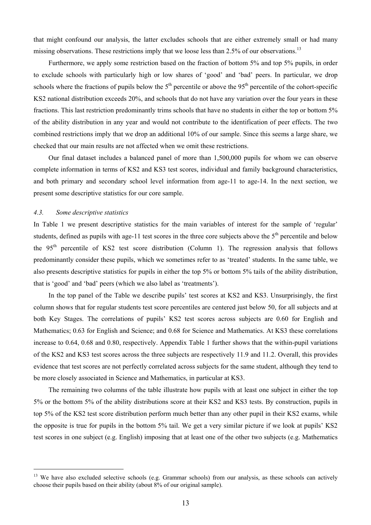that might confound our analysis, the latter excludes schools that are either extremely small or had many missing observations. These restrictions imply that we loose less than 2.5% of our observations.<sup>13</sup>

Furthermore, we apply some restriction based on the fraction of bottom 5% and top 5% pupils, in order to exclude schools with particularly high or low shares of 'good' and 'bad' peers. In particular, we drop schools where the fractions of pupils below the  $5<sup>th</sup>$  percentile or above the 95<sup>th</sup> percentile of the cohort-specific KS2 national distribution exceeds 20%, and schools that do not have any variation over the four years in these fractions. This last restriction predominantly trims schools that have no students in either the top or bottom 5% of the ability distribution in any year and would not contribute to the identification of peer effects. The two combined restrictions imply that we drop an additional 10% of our sample. Since this seems a large share, we checked that our main results are not affected when we omit these restrictions.

Our final dataset includes a balanced panel of more than 1,500,000 pupils for whom we can observe complete information in terms of KS2 and KS3 test scores, individual and family background characteristics, and both primary and secondary school level information from age-11 to age-14. In the next section, we present some descriptive statistics for our core sample.

#### *4.3. Some descriptive statistics*

 $\overline{a}$ 

In Table 1 we present descriptive statistics for the main variables of interest for the sample of 'regular' students, defined as pupils with age-11 test scores in the three core subjects above the  $5<sup>th</sup>$  percentile and below the 95<sup>th</sup> percentile of KS2 test score distribution (Column 1). The regression analysis that follows predominantly consider these pupils, which we sometimes refer to as 'treated' students. In the same table, we also presents descriptive statistics for pupils in either the top 5% or bottom 5% tails of the ability distribution, that is 'good' and 'bad' peers (which we also label as 'treatments').

In the top panel of the Table we describe pupils' test scores at KS2 and KS3. Unsurprisingly, the first column shows that for regular students test score percentiles are centered just below 50, for all subjects and at both Key Stages. The correlations of pupils' KS2 test scores across subjects are 0.60 for English and Mathematics; 0.63 for English and Science; and 0.68 for Science and Mathematics. At KS3 these correlations increase to 0.64, 0.68 and 0.80, respectively. Appendix Table 1 further shows that the within-pupil variations of the KS2 and KS3 test scores across the three subjects are respectively 11.9 and 11.2. Overall, this provides evidence that test scores are not perfectly correlated across subjects for the same student, although they tend to be more closely associated in Science and Mathematics, in particular at KS3.

The remaining two columns of the table illustrate how pupils with at least one subject in either the top 5% or the bottom 5% of the ability distributions score at their KS2 and KS3 tests. By construction, pupils in top 5% of the KS2 test score distribution perform much better than any other pupil in their KS2 exams, while the opposite is true for pupils in the bottom 5% tail. We get a very similar picture if we look at pupils' KS2 test scores in one subject (e.g. English) imposing that at least one of the other two subjects (e.g. Mathematics

<sup>&</sup>lt;sup>13</sup> We have also excluded selective schools (e.g. Grammar schools) from our analysis, as these schools can actively choose their pupils based on their ability (about 8% of our original sample).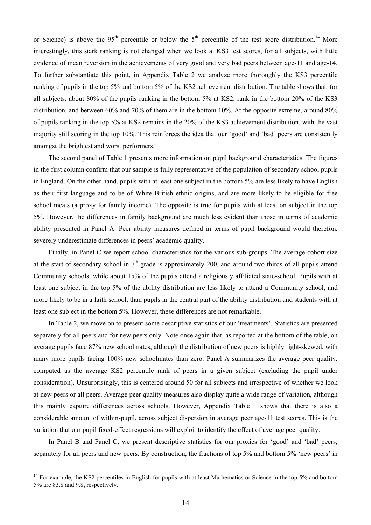or Science) is above the 95<sup>th</sup> percentile or below the 5<sup>th</sup> percentile of the test score distribution.<sup>14</sup> More interestingly, this stark ranking is not changed when we look at KS3 test scores, for all subjects, with little evidence of mean reversion in the achievements of very good and very bad peers between age-11 and age-14. To further substantiate this point, in Appendix Table 2 we analyze more thoroughly the KS3 percentile ranking of pupils in the top 5% and bottom 5% of the KS2 achievement distribution. The table shows that, for all subjects, about 80% of the pupils ranking in the bottom 5% at KS2, rank in the bottom 20% of the KS3 distribution, and between 60% and 70% of them are in the bottom 10%. At the opposite extreme, around 80% of pupils ranking in the top 5% at KS2 remains in the 20% of the KS3 achievement distribution, with the vast majority still scoring in the top 10%. This reinforces the idea that our 'good' and 'bad' peers are consistently amongst the brightest and worst performers.

The second panel of Table 1 presents more information on pupil background characteristics. The figures in the first column confirm that our sample is fully representative of the population of secondary school pupils in England. On the other hand, pupils with at least one subject in the bottom 5% are less likely to have English as their first language and to be of White British ethnic origins, and are more likely to be eligible for free school meals (a proxy for family income). The opposite is true for pupils with at least on subject in the top 5%. However, the differences in family background are much less evident than those in terms of academic ability presented in Panel A. Peer ability measures defined in terms of pupil background would therefore severely underestimate differences in peers' academic quality.

Finally, in Panel C we report school characteristics for the various sub-groups. The average cohort size at the start of secondary school in  $7<sup>th</sup>$  grade is approximately 200, and around two thirds of all pupils attend Community schools, while about 15% of the pupils attend a religiously affiliated state-school. Pupils with at least one subject in the top 5% of the ability distribution are less likely to attend a Community school, and more likely to be in a faith school, than pupils in the central part of the ability distribution and students with at least one subject in the bottom 5%. However, these differences are not remarkable.

In Table 2, we move on to present some descriptive statistics of our 'treatments'. Statistics are presented separately for all peers and for new peers only. Note once again that, as reported at the bottom of the table, on average pupils face 87% new schoolmates, although the distribution of new peers is highly right-skewed, with many more pupils facing 100% new schoolmates than zero. Panel A summarizes the average peer quality, computed as the average KS2 percentile rank of peers in a given subject (excluding the pupil under consideration). Unsurprisingly, this is centered around 50 for all subjects and irrespective of whether we look at new peers or all peers. Average peer quality measures also display quite a wide range of variation, although this mainly capture differences across schools. However, Appendix Table 1 shows that there is also a considerable amount of within-pupil, across subject dispersion in average peer age-11 test scores. This is the variation that our pupil fixed-effect regressions will exploit to identify the effect of average peer quality.

In Panel B and Panel C, we present descriptive statistics for our proxies for 'good' and 'bad' peers, separately for all peers and new peers. By construction, the fractions of top 5% and bottom 5% 'new peers' in

 $\overline{a}$ 

<sup>&</sup>lt;sup>14</sup> For example, the KS2 percentiles in English for pupils with at least Mathematics or Science in the top 5% and bottom 5% are 83.8 and 9.8, respectively.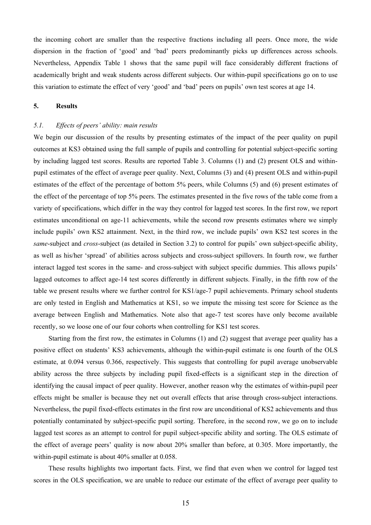the incoming cohort are smaller than the respective fractions including all peers. Once more, the wide dispersion in the fraction of 'good' and 'bad' peers predominantly picks up differences across schools. Nevertheless, Appendix Table 1 shows that the same pupil will face considerably different fractions of academically bright and weak students across different subjects. Our within-pupil specifications go on to use this variation to estimate the effect of very 'good' and 'bad' peers on pupils' own test scores at age 14.

# **5. Results**

#### *5.1. Effects of peers' ability: main results*

We begin our discussion of the results by presenting estimates of the impact of the peer quality on pupil outcomes at KS3 obtained using the full sample of pupils and controlling for potential subject-specific sorting by including lagged test scores. Results are reported Table 3. Columns (1) and (2) present OLS and withinpupil estimates of the effect of average peer quality. Next, Columns (3) and (4) present OLS and within-pupil estimates of the effect of the percentage of bottom 5% peers, while Columns (5) and (6) present estimates of the effect of the percentage of top 5% peers. The estimates presented in the five rows of the table come from a variety of specifications, which differ in the way they control for lagged test scores. In the first row, we report estimates unconditional on age-11 achievements, while the second row presents estimates where we simply include pupils' own KS2 attainment. Next, in the third row, we include pupils' own KS2 test scores in the *same*-subject and *cross*-subject (as detailed in Section 3.2) to control for pupils' own subject-specific ability, as well as his/her 'spread' of abilities across subjects and cross-subject spillovers. In fourth row, we further interact lagged test scores in the same- and cross-subject with subject specific dummies. This allows pupils' lagged outcomes to affect age-14 test scores differently in different subjects. Finally, in the fifth row of the table we present results where we further control for KS1/age-7 pupil achievements. Primary school students are only tested in English and Mathematics at KS1, so we impute the missing test score for Science as the average between English and Mathematics. Note also that age-7 test scores have only become available recently, so we loose one of our four cohorts when controlling for KS1 test scores.

Starting from the first row, the estimates in Columns (1) and (2) suggest that average peer quality has a positive effect on students' KS3 achievements, although the within-pupil estimate is one fourth of the OLS estimate, at 0.094 versus 0.366, respectively. This suggests that controlling for pupil average unobservable ability across the three subjects by including pupil fixed-effects is a significant step in the direction of identifying the causal impact of peer quality. However, another reason why the estimates of within-pupil peer effects might be smaller is because they net out overall effects that arise through cross-subject interactions. Nevertheless, the pupil fixed-effects estimates in the first row are unconditional of KS2 achievements and thus potentially contaminated by subject-specific pupil sorting. Therefore, in the second row, we go on to include lagged test scores as an attempt to control for pupil subject-specific ability and sorting. The OLS estimate of the effect of average peers' quality is now about 20% smaller than before, at 0.305. More importantly, the within-pupil estimate is about 40% smaller at 0.058.

These results highlights two important facts. First, we find that even when we control for lagged test scores in the OLS specification, we are unable to reduce our estimate of the effect of average peer quality to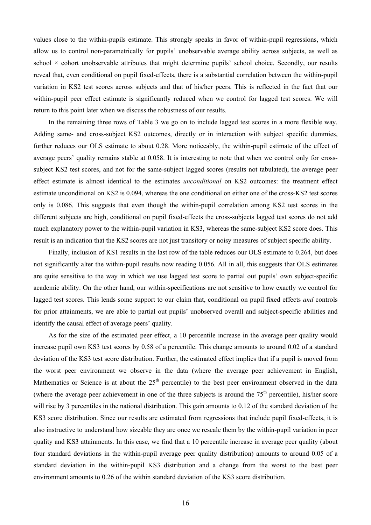values close to the within-pupils estimate. This strongly speaks in favor of within-pupil regressions, which allow us to control non-parametrically for pupils' unobservable average ability across subjects, as well as school  $\times$  cohort unobservable attributes that might determine pupils' school choice. Secondly, our results reveal that, even conditional on pupil fixed-effects, there is a substantial correlation between the within-pupil variation in KS2 test scores across subjects and that of his/her peers. This is reflected in the fact that our within-pupil peer effect estimate is significantly reduced when we control for lagged test scores. We will return to this point later when we discuss the robustness of our results.

In the remaining three rows of Table 3 we go on to include lagged test scores in a more flexible way. Adding same- and cross-subject KS2 outcomes, directly or in interaction with subject specific dummies, further reduces our OLS estimate to about 0.28. More noticeably, the within-pupil estimate of the effect of average peers' quality remains stable at 0.058. It is interesting to note that when we control only for crosssubject KS2 test scores, and not for the same-subject lagged scores (results not tabulated), the average peer effect estimate is almost identical to the estimates *unconditional* on KS2 outcomes: the treatment effect estimate unconditional on KS2 is 0.094, whereas the one conditional on either one of the cross-KS2 test scores only is 0.086. This suggests that even though the within-pupil correlation among KS2 test scores in the different subjects are high, conditional on pupil fixed-effects the cross-subjects lagged test scores do not add much explanatory power to the within-pupil variation in KS3, whereas the same-subject KS2 score does. This result is an indication that the KS2 scores are not just transitory or noisy measures of subject specific ability.

Finally, inclusion of KS1 results in the last row of the table reduces our OLS estimate to 0.264, but does not significantly alter the within-pupil results now reading 0.056. All in all, this suggests that OLS estimates are quite sensitive to the way in which we use lagged test score to partial out pupils' own subject-specific academic ability. On the other hand, our within-specifications are not sensitive to how exactly we control for lagged test scores. This lends some support to our claim that, conditional on pupil fixed effects *and* controls for prior attainments, we are able to partial out pupils' unobserved overall and subject-specific abilities and identify the causal effect of average peers' quality.

As for the size of the estimated peer effect, a 10 percentile increase in the average peer quality would increase pupil own KS3 test scores by 0.58 of a percentile. This change amounts to around 0.02 of a standard deviation of the KS3 test score distribution. Further, the estimated effect implies that if a pupil is moved from the worst peer environment we observe in the data (where the average peer achievement in English, Mathematics or Science is at about the  $25<sup>th</sup>$  percentile) to the best peer environment observed in the data (where the average peer achievement in one of the three subjects is around the  $75<sup>th</sup>$  percentile), his/her score will rise by 3 percentiles in the national distribution. This gain amounts to 0.12 of the standard deviation of the KS3 score distribution. Since our results are estimated from regressions that include pupil fixed-effects, it is also instructive to understand how sizeable they are once we rescale them by the within-pupil variation in peer quality and KS3 attainments. In this case, we find that a 10 percentile increase in average peer quality (about four standard deviations in the within-pupil average peer quality distribution) amounts to around 0.05 of a standard deviation in the within-pupil KS3 distribution and a change from the worst to the best peer environment amounts to 0.26 of the within standard deviation of the KS3 score distribution.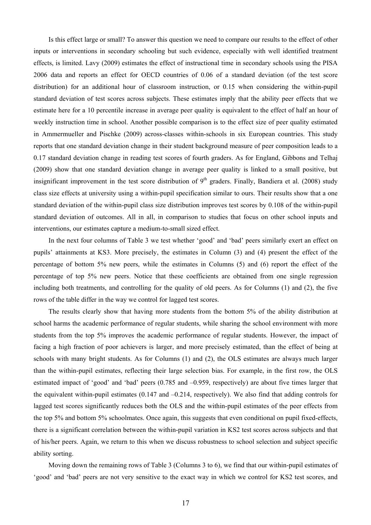Is this effect large or small? To answer this question we need to compare our results to the effect of other inputs or interventions in secondary schooling but such evidence, especially with well identified treatment effects, is limited. Lavy (2009) estimates the effect of instructional time in secondary schools using the PISA 2006 data and reports an effect for OECD countries of 0.06 of a standard deviation (of the test score distribution) for an additional hour of classroom instruction, or 0.15 when considering the within-pupil standard deviation of test scores across subjects. These estimates imply that the ability peer effects that we estimate here for a 10 percentile increase in average peer quality is equivalent to the effect of half an hour of weekly instruction time in school. Another possible comparison is to the effect size of peer quality estimated in Ammermueller and Pischke (2009) across-classes within-schools in six European countries. This study reports that one standard deviation change in their student background measure of peer composition leads to a 0.17 standard deviation change in reading test scores of fourth graders. As for England, Gibbons and Telhaj (2009) show that one standard deviation change in average peer quality is linked to a small positive, but insignificant improvement in the test score distribution of  $9<sup>th</sup>$  graders. Finally, Bandiera et al. (2008) study class size effects at university using a within-pupil specification similar to ours. Their results show that a one standard deviation of the within-pupil class size distribution improves test scores by 0.108 of the within-pupil standard deviation of outcomes. All in all, in comparison to studies that focus on other school inputs and interventions, our estimates capture a medium-to-small sized effect.

In the next four columns of Table 3 we test whether 'good' and 'bad' peers similarly exert an effect on pupils' attainments at KS3. More precisely, the estimates in Column (3) and (4) present the effect of the percentage of bottom 5% new peers, while the estimates in Columns (5) and (6) report the effect of the percentage of top 5% new peers. Notice that these coefficients are obtained from one single regression including both treatments, and controlling for the quality of old peers. As for Columns (1) and (2), the five rows of the table differ in the way we control for lagged test scores.

The results clearly show that having more students from the bottom 5% of the ability distribution at school harms the academic performance of regular students, while sharing the school environment with more students from the top 5% improves the academic performance of regular students. However, the impact of facing a high fraction of poor achievers is larger, and more precisely estimated, than the effect of being at schools with many bright students. As for Columns (1) and (2), the OLS estimates are always much larger than the within-pupil estimates, reflecting their large selection bias. For example, in the first row, the OLS estimated impact of 'good' and 'bad' peers (0.785 and –0.959, respectively) are about five times larger that the equivalent within-pupil estimates (0.147 and –0.214, respectively). We also find that adding controls for lagged test scores significantly reduces both the OLS and the within-pupil estimates of the peer effects from the top 5% and bottom 5% schoolmates. Once again, this suggests that even conditional on pupil fixed-effects, there is a significant correlation between the within-pupil variation in KS2 test scores across subjects and that of his/her peers. Again, we return to this when we discuss robustness to school selection and subject specific ability sorting.

Moving down the remaining rows of Table 3 (Columns 3 to 6), we find that our within-pupil estimates of 'good' and 'bad' peers are not very sensitive to the exact way in which we control for KS2 test scores, and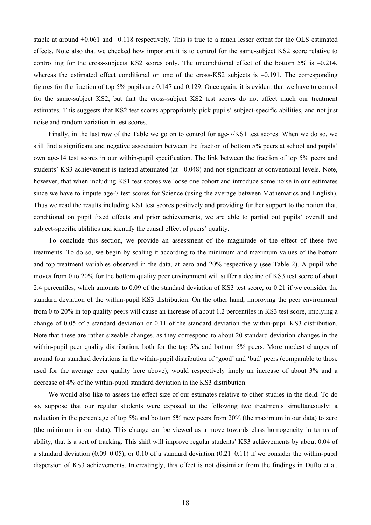stable at around +0.061 and –0.118 respectively. This is true to a much lesser extent for the OLS estimated effects. Note also that we checked how important it is to control for the same-subject KS2 score relative to controlling for the cross-subjects KS2 scores only. The unconditional effect of the bottom 5% is –0.214, whereas the estimated effect conditional on one of the cross-KS2 subjects is  $-0.191$ . The corresponding figures for the fraction of top 5% pupils are 0.147 and 0.129. Once again, it is evident that we have to control for the same-subject KS2, but that the cross-subject KS2 test scores do not affect much our treatment estimates. This suggests that KS2 test scores appropriately pick pupils' subject-specific abilities, and not just noise and random variation in test scores.

Finally, in the last row of the Table we go on to control for age-7/KS1 test scores. When we do so, we still find a significant and negative association between the fraction of bottom 5% peers at school and pupils' own age-14 test scores in our within-pupil specification. The link between the fraction of top 5% peers and students' KS3 achievement is instead attenuated (at +0.048) and not significant at conventional levels. Note, however, that when including KS1 test scores we loose one cohort and introduce some noise in our estimates since we have to impute age-7 test scores for Science (using the average between Mathematics and English). Thus we read the results including KS1 test scores positively and providing further support to the notion that, conditional on pupil fixed effects and prior achievements, we are able to partial out pupils' overall and subject-specific abilities and identify the causal effect of peers' quality.

To conclude this section, we provide an assessment of the magnitude of the effect of these two treatments. To do so, we begin by scaling it according to the minimum and maximum values of the bottom and top treatment variables observed in the data, at zero and 20% respectively (see Table 2). A pupil who moves from 0 to 20% for the bottom quality peer environment will suffer a decline of KS3 test score of about 2.4 percentiles, which amounts to 0.09 of the standard deviation of KS3 test score, or 0.21 if we consider the standard deviation of the within-pupil KS3 distribution. On the other hand, improving the peer environment from 0 to 20% in top quality peers will cause an increase of about 1.2 percentiles in KS3 test score, implying a change of 0.05 of a standard deviation or 0.11 of the standard deviation the within-pupil KS3 distribution. Note that these are rather sizeable changes, as they correspond to about 20 standard deviation changes in the within-pupil peer quality distribution, both for the top 5% and bottom 5% peers. More modest changes of around four standard deviations in the within-pupil distribution of 'good' and 'bad' peers (comparable to those used for the average peer quality here above), would respectively imply an increase of about 3% and a decrease of 4% of the within-pupil standard deviation in the KS3 distribution.

We would also like to assess the effect size of our estimates relative to other studies in the field. To do so, suppose that our regular students were exposed to the following two treatments simultaneously: a reduction in the percentage of top 5% and bottom 5% new peers from 20% (the maximum in our data) to zero (the minimum in our data). This change can be viewed as a move towards class homogeneity in terms of ability, that is a sort of tracking. This shift will improve regular students' KS3 achievements by about 0.04 of a standard deviation (0.09–0.05), or 0.10 of a standard deviation (0.21–0.11) if we consider the within-pupil dispersion of KS3 achievements. Interestingly, this effect is not dissimilar from the findings in Duflo et al.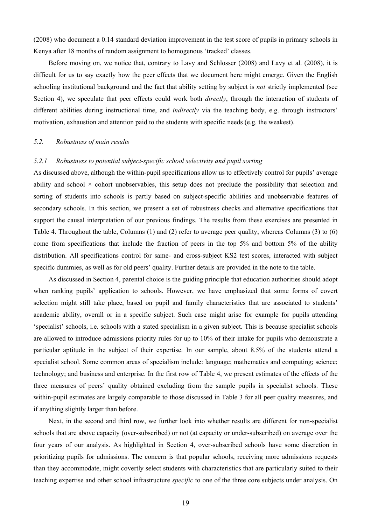(2008) who document a 0.14 standard deviation improvement in the test score of pupils in primary schools in Kenya after 18 months of random assignment to homogenous 'tracked' classes.

Before moving on, we notice that, contrary to Lavy and Schlosser (2008) and Lavy et al. (2008), it is difficult for us to say exactly how the peer effects that we document here might emerge. Given the English schooling institutional background and the fact that ability setting by subject is *not* strictly implemented (see Section 4), we speculate that peer effects could work both *directly*, through the interaction of students of different abilities during instructional time, and *indirectly* via the teaching body, e.g. through instructors' motivation, exhaustion and attention paid to the students with specific needs (e.g. the weakest).

## *5.2. Robustness of main results*

# *5.2.1 Robustness to potential subject-specific school selectivity and pupil sorting*

As discussed above, although the within-pupil specifications allow us to effectively control for pupils' average ability and school  $\times$  cohort unobservables, this setup does not preclude the possibility that selection and sorting of students into schools is partly based on subject-specific abilities and unobservable features of secondary schools. In this section, we present a set of robustness checks and alternative specifications that support the causal interpretation of our previous findings. The results from these exercises are presented in Table 4. Throughout the table, Columns (1) and (2) refer to average peer quality, whereas Columns (3) to (6) come from specifications that include the fraction of peers in the top 5% and bottom 5% of the ability distribution. All specifications control for same- and cross-subject KS2 test scores, interacted with subject specific dummies, as well as for old peers' quality. Further details are provided in the note to the table.

As discussed in Section 4, parental choice is the guiding principle that education authorities should adopt when ranking pupils' application to schools. However, we have emphasized that some forms of covert selection might still take place, based on pupil and family characteristics that are associated to students' academic ability, overall or in a specific subject. Such case might arise for example for pupils attending 'specialist' schools, i.e. schools with a stated specialism in a given subject. This is because specialist schools are allowed to introduce admissions priority rules for up to 10% of their intake for pupils who demonstrate a particular aptitude in the subject of their expertise. In our sample, about 8.5% of the students attend a specialist school. Some common areas of specialism include: language; mathematics and computing; science; technology; and business and enterprise. In the first row of Table 4, we present estimates of the effects of the three measures of peers' quality obtained excluding from the sample pupils in specialist schools. These within-pupil estimates are largely comparable to those discussed in Table 3 for all peer quality measures, and if anything slightly larger than before.

Next, in the second and third row, we further look into whether results are different for non-specialist schools that are above capacity (over-subscribed) or not (at capacity or under-subscribed) on average over the four years of our analysis. As highlighted in Section 4, over-subscribed schools have some discretion in prioritizing pupils for admissions. The concern is that popular schools, receiving more admissions requests than they accommodate, might covertly select students with characteristics that are particularly suited to their teaching expertise and other school infrastructure *specific* to one of the three core subjects under analysis. On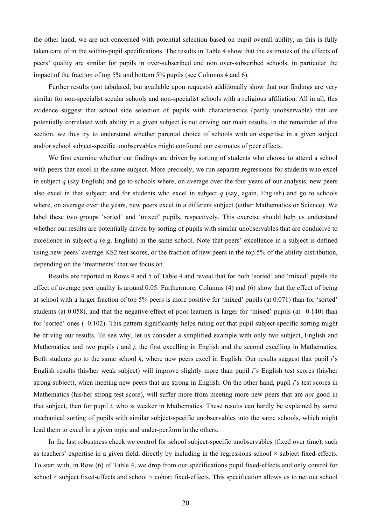the other hand, we are not concerned with potential selection based on pupil overall ability, as this is fully taken care of in the within-pupil specifications. The results in Table 4 show that the estimates of the effects of peers' quality are similar for pupils in over-subscribed and non over-subscribed schools, in particular the impact of the fraction of top 5% and bottom 5% pupils (see Columns 4 and 6).

Further results (not tabulated, but available upon requests) additionally show that our findings are very similar for non-specialist secular schools and non-specialist schools with a religious affiliation. All in all, this evidence suggest that school side selection of pupils with characteristics (partly unobservable) that are potentially correlated with ability in a given subject is not driving our main results. In the remainder of this section, we thus try to understand whether parental choice of schools with an expertise in a given subject and/or school subject-specific unobservables might confound our estimates of peer effects.

We first examine whether our findings are driven by sorting of students who choose to attend a school with peers that excel in the same subject. More precisely, we run separate regressions for students who excel in subject *q* (say English) and go to schools where, on average over the four years of our analysis, new peers also excel in that subject; and for students who excel in subject *q* (say, again, English) and go to schools where, on average over the years, new peers excel in a different subject (either Mathematics or Science). We label these two groups 'sorted' and 'mixed' pupils, respectively. This exercise should help us understand whether our results are potentially driven by sorting of pupils with similar unobservables that are conducive to excellence in subject *q* (e.g. English) in the same school. Note that peers' excellence in a subject is defined using new peers' average KS2 test scores, or the fraction of new peers in the top 5% of the ability distribution, depending on the 'treatments' that we focus on.

Results are reported in Rows 4 and 5 of Table 4 and reveal that for both 'sorted' and 'mixed' pupils the effect of average peer quality is around 0.05. Furthermore, Columns (4) and (6) show that the effect of being at school with a larger fraction of top 5% peers is more positive for 'mixed' pupils (at 0.071) than for 'sorted' students (at  $0.058$ ), and that the negative effect of poor learners is larger for 'mixed' pupils (at  $-0.140$ ) than for 'sorted' ones (–0.102). This pattern significantly helps ruling out that pupil subject-specific sorting might be driving our results. To see why, let us consider a simplified example with only two subject, English and Mathematics, and two pupils *i* and *j*, the first excelling in English and the second excelling in Mathematics. Both students go to the same school *k*, where new peers excel in English. Our results suggest that pupil *j*'s English results (his/her weak subject) will improve slightly more than pupil *i*'s English test scores (his/her strong subject), when meeting new peers that are strong in English. On the other hand, pupil *j*'s test scores in Mathematics (his/her strong test score), will suffer more from meeting more new peers that are *not* good in that subject, than for pupil *i*, who is weaker in Mathematics. These results can hardly be explained by some mechanical sorting of pupils with similar subject-specific unobservables into the same schools, which might lead them to excel in a given topic and under-perform in the others.

In the last robustness check we control for school subject-specific unobservables (fixed over time), such as teachers' expertise in a given field, directly by including in the regressions school  $\times$  subject fixed-effects. To start with, in Row (6) of Table 4, we drop from our specifications pupil fixed-effects and only control for school  $\times$  subject fixed-effects and school  $\times$  cohort fixed-effects. This specification allows us to net out school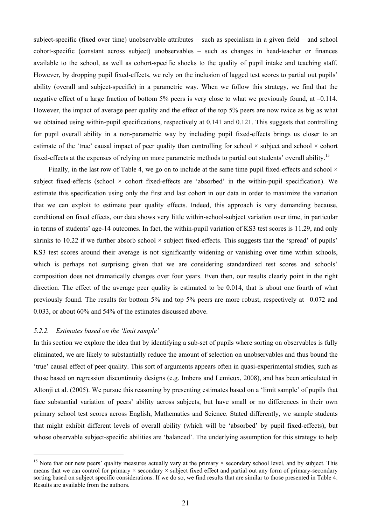subject-specific (fixed over time) unobservable attributes – such as specialism in a given field – and school cohort-specific (constant across subject) unobservables – such as changes in head-teacher or finances available to the school, as well as cohort-specific shocks to the quality of pupil intake and teaching staff. However, by dropping pupil fixed-effects, we rely on the inclusion of lagged test scores to partial out pupils' ability (overall and subject-specific) in a parametric way. When we follow this strategy, we find that the negative effect of a large fraction of bottom 5% peers is very close to what we previously found, at –0.114. However, the impact of average peer quality and the effect of the top 5% peers are now twice as big as what we obtained using within-pupil specifications, respectively at 0.141 and 0.121. This suggests that controlling for pupil overall ability in a non-parametric way by including pupil fixed-effects brings us closer to an estimate of the 'true' causal impact of peer quality than controlling for school  $\times$  subject and school  $\times$  cohort fixed-effects at the expenses of relying on more parametric methods to partial out students' overall ability.15

Finally, in the last row of Table 4, we go on to include at the same time pupil fixed-effects and school  $\times$ subject fixed-effects (school  $\times$  cohort fixed-effects are 'absorbed' in the within-pupil specification). We estimate this specification using only the first and last cohort in our data in order to maximize the variation that we can exploit to estimate peer quality effects. Indeed, this approach is very demanding because, conditional on fixed effects, our data shows very little within-school-subject variation over time, in particular in terms of students' age-14 outcomes. In fact, the within-pupil variation of KS3 test scores is 11.29, and only shrinks to 10.22 if we further absorb school  $\times$  subject fixed-effects. This suggests that the 'spread' of pupils' KS3 test scores around their average is not significantly widening or vanishing over time within schools, which is perhaps not surprising given that we are considering standardized test scores and schools' composition does not dramatically changes over four years. Even then, our results clearly point in the right direction. The effect of the average peer quality is estimated to be 0.014, that is about one fourth of what previously found. The results for bottom 5% and top 5% peers are more robust, respectively at –0.072 and 0.033, or about 60% and 54% of the estimates discussed above.

# *5.2.2. Estimates based on the 'limit sample'*

 $\overline{a}$ 

In this section we explore the idea that by identifying a sub-set of pupils where sorting on observables is fully eliminated, we are likely to substantially reduce the amount of selection on unobservables and thus bound the 'true' causal effect of peer quality. This sort of arguments appears often in quasi-experimental studies, such as those based on regression discontinuity designs (e.g. Imbens and Lemieux, 2008), and has been articulated in Altonji et al. (2005). We pursue this reasoning by presenting estimates based on a 'limit sample' of pupils that face substantial variation of peers' ability across subjects, but have small or no differences in their own primary school test scores across English, Mathematics and Science. Stated differently, we sample students that might exhibit different levels of overall ability (which will be 'absorbed' by pupil fixed-effects), but whose observable subject-specific abilities are 'balanced'. The underlying assumption for this strategy to help

<sup>&</sup>lt;sup>15</sup> Note that our new peers' quality measures actually vary at the primary  $\times$  secondary school level, and by subject. This means that we can control for primary  $\times$  secondary  $\times$  subject fixed effect and partial out any form of primary-secondary sorting based on subject specific considerations. If we do so, we find results that are similar to those presented in Table 4. Results are available from the authors.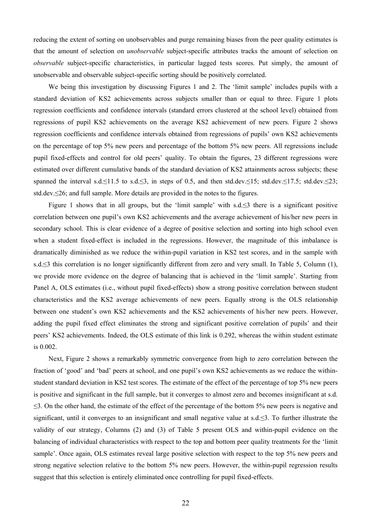reducing the extent of sorting on unobservables and purge remaining biases from the peer quality estimates is that the amount of selection on *unobservable* subject-specific attributes tracks the amount of selection on *observable* subject-specific characteristics, in particular lagged tests scores. Put simply, the amount of unobservable and observable subject-specific sorting should be positively correlated.

We being this investigation by discussing Figures 1 and 2. The 'limit sample' includes pupils with a standard deviation of KS2 achievements across subjects smaller than or equal to three. Figure 1 plots regression coefficients and confidence intervals (standard errors clustered at the school level) obtained from regressions of pupil KS2 achievements on the average KS2 achievement of new peers. Figure 2 shows regression coefficients and confidence intervals obtained from regressions of pupils' own KS2 achievements on the percentage of top 5% new peers and percentage of the bottom 5% new peers. All regressions include pupil fixed-effects and control for old peers' quality. To obtain the figures, 23 different regressions were estimated over different cumulative bands of the standard deviation of KS2 attainments across subjects; these spanned the interval s.d.≤11.5 to s.d.≤3, in steps of 0.5, and then std.dev.≤15; std.dev.≤17.5; std.dev.≤23; std.dev.≤26; and full sample. More details are provided in the notes to the figures.

Figure 1 shows that in all groups, but the 'limit sample' with s.d.≤3 there is a significant positive correlation between one pupil's own KS2 achievements and the average achievement of his/her new peers in secondary school. This is clear evidence of a degree of positive selection and sorting into high school even when a student fixed-effect is included in the regressions. However, the magnitude of this imbalance is dramatically diminished as we reduce the within-pupil variation in KS2 test scores, and in the sample with s.d.≤3 this correlation is no longer significantly different from zero and very small. In Table 5, Column (1), we provide more evidence on the degree of balancing that is achieved in the 'limit sample'. Starting from Panel A, OLS estimates (i.e., without pupil fixed-effects) show a strong positive correlation between student characteristics and the KS2 average achievements of new peers. Equally strong is the OLS relationship between one student's own KS2 achievements and the KS2 achievements of his/her new peers. However, adding the pupil fixed effect eliminates the strong and significant positive correlation of pupils' and their peers' KS2 achievements. Indeed, the OLS estimate of this link is 0.292, whereas the within student estimate is 0.002.

Next, Figure 2 shows a remarkably symmetric convergence from high to zero correlation between the fraction of 'good' and 'bad' peers at school, and one pupil's own KS2 achievements as we reduce the withinstudent standard deviation in KS2 test scores. The estimate of the effect of the percentage of top 5% new peers is positive and significant in the full sample, but it converges to almost zero and becomes insignificant at s.d. ≤3. On the other hand, the estimate of the effect of the percentage of the bottom 5% new peers is negative and significant, until it converges to an insignificant and small negative value at s.d.≤3. To further illustrate the validity of our strategy, Columns (2) and (3) of Table 5 present OLS and within-pupil evidence on the balancing of individual characteristics with respect to the top and bottom peer quality treatments for the 'limit sample'. Once again, OLS estimates reveal large positive selection with respect to the top 5% new peers and strong negative selection relative to the bottom 5% new peers. However, the within-pupil regression results suggest that this selection is entirely eliminated once controlling for pupil fixed-effects.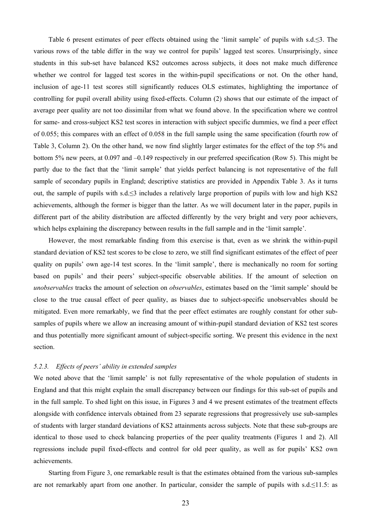Table 6 present estimates of peer effects obtained using the 'limit sample' of pupils with s.d.≤3. The various rows of the table differ in the way we control for pupils' lagged test scores. Unsurprisingly, since students in this sub-set have balanced KS2 outcomes across subjects, it does not make much difference whether we control for lagged test scores in the within-pupil specifications or not. On the other hand, inclusion of age-11 test scores still significantly reduces OLS estimates, highlighting the importance of controlling for pupil overall ability using fixed-effects. Column (2) shows that our estimate of the impact of average peer quality are not too dissimilar from what we found above. In the specification where we control for same- and cross-subject KS2 test scores in interaction with subject specific dummies, we find a peer effect of 0.055; this compares with an effect of 0.058 in the full sample using the same specification (fourth row of Table 3, Column 2). On the other hand, we now find slightly larger estimates for the effect of the top 5% and bottom 5% new peers, at 0.097 and –0.149 respectively in our preferred specification (Row 5). This might be partly due to the fact that the 'limit sample' that yields perfect balancing is not representative of the full sample of secondary pupils in England; descriptive statistics are provided in Appendix Table 3. As it turns out, the sample of pupils with s.d.≤3 includes a relatively large proportion of pupils with low and high KS2 achievements, although the former is bigger than the latter. As we will document later in the paper, pupils in different part of the ability distribution are affected differently by the very bright and very poor achievers, which helps explaining the discrepancy between results in the full sample and in the 'limit sample'.

However, the most remarkable finding from this exercise is that, even as we shrink the within-pupil standard deviation of KS2 test scores to be close to zero, we still find significant estimates of the effect of peer quality on pupils' own age-14 test scores. In the 'limit sample', there is mechanically no room for sorting based on pupils' and their peers' subject-specific observable abilities. If the amount of selection on *unobservables* tracks the amount of selection on *observables*, estimates based on the 'limit sample' should be close to the true causal effect of peer quality, as biases due to subject-specific unobservables should be mitigated. Even more remarkably, we find that the peer effect estimates are roughly constant for other subsamples of pupils where we allow an increasing amount of within-pupil standard deviation of KS2 test scores and thus potentially more significant amount of subject-specific sorting. We present this evidence in the next section.

# *5.2.3. Effects of peers' ability in extended samples*

We noted above that the 'limit sample' is not fully representative of the whole population of students in England and that this might explain the small discrepancy between our findings for this sub-set of pupils and in the full sample. To shed light on this issue, in Figures 3 and 4 we present estimates of the treatment effects alongside with confidence intervals obtained from 23 separate regressions that progressively use sub-samples of students with larger standard deviations of KS2 attainments across subjects. Note that these sub-groups are identical to those used to check balancing properties of the peer quality treatments (Figures 1 and 2). All regressions include pupil fixed-effects and control for old peer quality, as well as for pupils' KS2 own achievements.

Starting from Figure 3, one remarkable result is that the estimates obtained from the various sub-samples are not remarkably apart from one another. In particular, consider the sample of pupils with s.d.≤11.5: as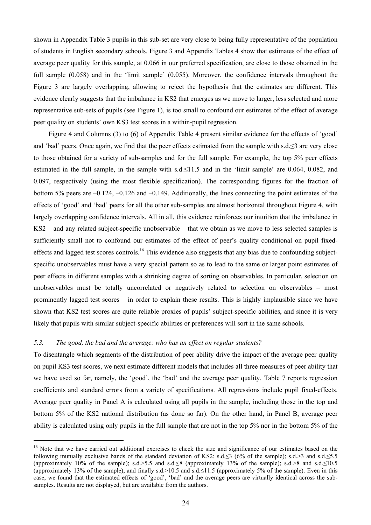shown in Appendix Table 3 pupils in this sub-set are very close to being fully representative of the population of students in English secondary schools. Figure 3 and Appendix Tables 4 show that estimates of the effect of average peer quality for this sample, at 0.066 in our preferred specification, are close to those obtained in the full sample (0.058) and in the 'limit sample' (0.055). Moreover, the confidence intervals throughout the Figure 3 are largely overlapping, allowing to reject the hypothesis that the estimates are different. This evidence clearly suggests that the imbalance in KS2 that emerges as we move to larger, less selected and more representative sub-sets of pupils (see Figure 1), is too small to confound our estimates of the effect of average peer quality on students' own KS3 test scores in a within-pupil regression.

Figure 4 and Columns (3) to (6) of Appendix Table 4 present similar evidence for the effects of 'good' and 'bad' peers. Once again, we find that the peer effects estimated from the sample with s.d.≤3 are very close to those obtained for a variety of sub-samples and for the full sample. For example, the top 5% peer effects estimated in the full sample, in the sample with s.d.≤11.5 and in the 'limit sample' are 0.064, 0.082, and 0.097, respectively (using the most flexible specification). The corresponding figures for the fraction of bottom 5% peers are –0.124, –0.126 and –0.149. Additionally, the lines connecting the point estimates of the effects of 'good' and 'bad' peers for all the other sub-samples are almost horizontal throughout Figure 4, with largely overlapping confidence intervals. All in all, this evidence reinforces our intuition that the imbalance in KS2 – and any related subject-specific unobservable – that we obtain as we move to less selected samples is sufficiently small not to confound our estimates of the effect of peer's quality conditional on pupil fixedeffects and lagged test scores controls.<sup>16</sup> This evidence also suggests that any bias due to confounding subjectspecific unobservables must have a very special pattern so as to lead to the same or larger point estimates of peer effects in different samples with a shrinking degree of sorting on observables. In particular, selection on unobservables must be totally uncorrelated or negatively related to selection on observables – most prominently lagged test scores – in order to explain these results. This is highly implausible since we have shown that KS2 test scores are quite reliable proxies of pupils' subject-specific abilities, and since it is very likely that pupils with similar subject-specific abilities or preferences will sort in the same schools.

## *5.3. The good, the bad and the average: who has an effect on regular students?*

 $\overline{a}$ 

To disentangle which segments of the distribution of peer ability drive the impact of the average peer quality on pupil KS3 test scores, we next estimate different models that includes all three measures of peer ability that we have used so far, namely, the 'good', the 'bad' and the average peer quality. Table 7 reports regression coefficients and standard errors from a variety of specifications. All regressions include pupil fixed-effects. Average peer quality in Panel A is calculated using all pupils in the sample, including those in the top and bottom 5% of the KS2 national distribution (as done so far). On the other hand, in Panel B, average peer ability is calculated using only pupils in the full sample that are not in the top 5% nor in the bottom 5% of the

<sup>&</sup>lt;sup>16</sup> Note that we have carried out additional exercises to check the size and significance of our estimates based on the following mutually exclusive bands of the standard deviation of KS2: s.d.≤3 (6% of the sample); s.d.>3 and s.d.≤5.5 (approximately 10% of the sample); s.d.>5.5 and s.d.≤8 (approximately 13% of the sample); s.d.>8 and s.d.≤10.5 (approximately 13% of the sample), and finally s.d.>10.5 and s.d.≤11.5 (approximately 5% of the sample). Even in this case, we found that the estimated effects of 'good', 'bad' and the average peers are virtually identical across the subsamples. Results are not displayed, but are available from the authors.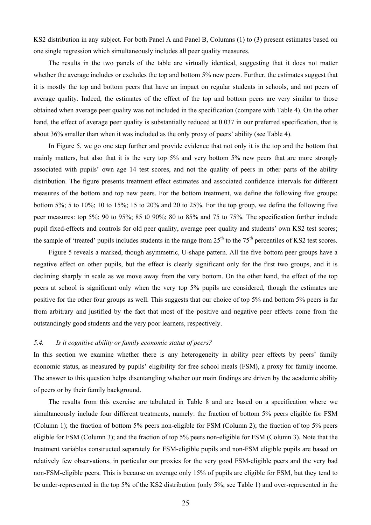KS2 distribution in any subject. For both Panel A and Panel B, Columns (1) to (3) present estimates based on one single regression which simultaneously includes all peer quality measures.

The results in the two panels of the table are virtually identical, suggesting that it does not matter whether the average includes or excludes the top and bottom 5% new peers. Further, the estimates suggest that it is mostly the top and bottom peers that have an impact on regular students in schools, and not peers of average quality. Indeed, the estimates of the effect of the top and bottom peers are very similar to those obtained when average peer quality was not included in the specification (compare with Table 4). On the other hand, the effect of average peer quality is substantially reduced at 0.037 in our preferred specification, that is about 36% smaller than when it was included as the only proxy of peers' ability (see Table 4).

In Figure 5, we go one step further and provide evidence that not only it is the top and the bottom that mainly matters, but also that it is the very top 5% and very bottom 5% new peers that are more strongly associated with pupils' own age 14 test scores, and not the quality of peers in other parts of the ability distribution. The figure presents treatment effect estimates and associated confidence intervals for different measures of the bottom and top new peers. For the bottom treatment, we define the following five groups: bottom 5%; 5 to 10%; 10 to 15%; 15 to 20% and 20 to 25%. For the top group, we define the following five peer measures: top 5%; 90 to 95%; 85 t0 90%; 80 to 85% and 75 to 75%. The specification further include pupil fixed-effects and controls for old peer quality, average peer quality and students' own KS2 test scores; the sample of 'treated' pupils includes students in the range from  $25<sup>th</sup>$  to the  $75<sup>th</sup>$  percentiles of KS2 test scores.

Figure 5 reveals a marked, though asymmetric, U-shape pattern. All the five bottom peer groups have a negative effect on other pupils, but the effect is clearly significant only for the first two groups, and it is declining sharply in scale as we move away from the very bottom. On the other hand, the effect of the top peers at school is significant only when the very top 5% pupils are considered, though the estimates are positive for the other four groups as well. This suggests that our choice of top 5% and bottom 5% peers is far from arbitrary and justified by the fact that most of the positive and negative peer effects come from the outstandingly good students and the very poor learners, respectively.

#### *5.4. Is it cognitive ability or family economic status of peers?*

In this section we examine whether there is any heterogeneity in ability peer effects by peers' family economic status, as measured by pupils' eligibility for free school meals (FSM), a proxy for family income. The answer to this question helps disentangling whether our main findings are driven by the academic ability of peers or by their family background.

The results from this exercise are tabulated in Table 8 and are based on a specification where we simultaneously include four different treatments, namely: the fraction of bottom 5% peers eligible for FSM (Column 1); the fraction of bottom 5% peers non-eligible for FSM (Column 2); the fraction of top 5% peers eligible for FSM (Column 3); and the fraction of top 5% peers non-eligible for FSM (Column 3). Note that the treatment variables constructed separately for FSM-eligible pupils and non-FSM eligible pupils are based on relatively few observations, in particular our proxies for the very good FSM-eligible peers and the very bad non-FSM-eligible peers. This is because on average only 15% of pupils are eligible for FSM, but they tend to be under-represented in the top 5% of the KS2 distribution (only 5%; see Table 1) and over-represented in the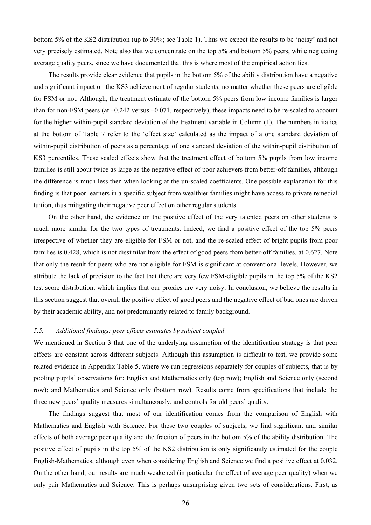bottom 5% of the KS2 distribution (up to 30%; see Table 1). Thus we expect the results to be 'noisy' and not very precisely estimated. Note also that we concentrate on the top 5% and bottom 5% peers, while neglecting average quality peers, since we have documented that this is where most of the empirical action lies.

The results provide clear evidence that pupils in the bottom 5% of the ability distribution have a negative and significant impact on the KS3 achievement of regular students, no matter whether these peers are eligible for FSM or not. Although, the treatment estimate of the bottom 5% peers from low income families is larger than for non-FSM peers (at –0.242 versus –0.071, respectively), these impacts need to be re-scaled to account for the higher within-pupil standard deviation of the treatment variable in Column (1). The numbers in italics at the bottom of Table 7 refer to the 'effect size' calculated as the impact of a one standard deviation of within-pupil distribution of peers as a percentage of one standard deviation of the within-pupil distribution of KS3 percentiles. These scaled effects show that the treatment effect of bottom 5% pupils from low income families is still about twice as large as the negative effect of poor achievers from better-off families, although the difference is much less then when looking at the un-scaled coefficients. One possible explanation for this finding is that poor learners in a specific subject from wealthier families might have access to private remedial tuition, thus mitigating their negative peer effect on other regular students.

On the other hand, the evidence on the positive effect of the very talented peers on other students is much more similar for the two types of treatments. Indeed, we find a positive effect of the top 5% peers irrespective of whether they are eligible for FSM or not, and the re-scaled effect of bright pupils from poor families is 0.428, which is not dissimilar from the effect of good peers from better-off families, at 0.627. Note that only the result for peers who are not eligible for FSM is significant at conventional levels. However, we attribute the lack of precision to the fact that there are very few FSM-eligible pupils in the top 5% of the KS2 test score distribution, which implies that our proxies are very noisy. In conclusion, we believe the results in this section suggest that overall the positive effect of good peers and the negative effect of bad ones are driven by their academic ability, and not predominantly related to family background.

# *5.5. Additional findings: peer effects estimates by subject coupled*

We mentioned in Section 3 that one of the underlying assumption of the identification strategy is that peer effects are constant across different subjects. Although this assumption is difficult to test, we provide some related evidence in Appendix Table 5, where we run regressions separately for couples of subjects, that is by pooling pupils' observations for: English and Mathematics only (top row); English and Science only (second row); and Mathematics and Science only (bottom row). Results come from specifications that include the three new peers' quality measures simultaneously, and controls for old peers' quality.

The findings suggest that most of our identification comes from the comparison of English with Mathematics and English with Science. For these two couples of subjects, we find significant and similar effects of both average peer quality and the fraction of peers in the bottom 5% of the ability distribution. The positive effect of pupils in the top 5% of the KS2 distribution is only significantly estimated for the couple English-Mathematics, although even when considering English and Science we find a positive effect at 0.032. On the other hand, our results are much weakened (in particular the effect of average peer quality) when we only pair Mathematics and Science. This is perhaps unsurprising given two sets of considerations. First, as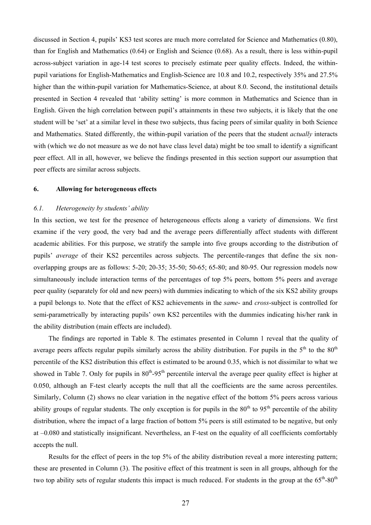discussed in Section 4, pupils' KS3 test scores are much more correlated for Science and Mathematics (0.80), than for English and Mathematics (0.64) or English and Science (0.68). As a result, there is less within-pupil across-subject variation in age-14 test scores to precisely estimate peer quality effects. Indeed, the withinpupil variations for English-Mathematics and English-Science are 10.8 and 10.2, respectively 35% and 27.5% higher than the within-pupil variation for Mathematics-Science, at about 8.0. Second, the institutional details presented in Section 4 revealed that 'ability setting' is more common in Mathematics and Science than in English. Given the high correlation between pupil's attainments in these two subjects, it is likely that the one student will be 'set' at a similar level in these two subjects, thus facing peers of similar quality in both Science and Mathematics. Stated differently, the within-pupil variation of the peers that the student *actually* interacts with (which we do not measure as we do not have class level data) might be too small to identify a significant peer effect. All in all, however, we believe the findings presented in this section support our assumption that peer effects are similar across subjects.

#### **6. Allowing for heterogeneous effects**

#### *6.1. Heterogeneity by students' ability*

In this section, we test for the presence of heterogeneous effects along a variety of dimensions. We first examine if the very good, the very bad and the average peers differentially affect students with different academic abilities. For this purpose, we stratify the sample into five groups according to the distribution of pupils' *average* of their KS2 percentiles across subjects. The percentile-ranges that define the six nonoverlapping groups are as follows: 5-20; 20-35; 35-50; 50-65; 65-80; and 80-95. Our regression models now simultaneously include interaction terms of the percentages of top 5% peers, bottom 5% peers and average peer quality (separately for old and new peers) with dummies indicating to which of the six KS2 ability groups a pupil belongs to. Note that the effect of KS2 achievements in the *same*- and *cross*-subject is controlled for semi-parametrically by interacting pupils' own KS2 percentiles with the dummies indicating his/her rank in the ability distribution (main effects are included).

The findings are reported in Table 8. The estimates presented in Column 1 reveal that the quality of average peers affects regular pupils similarly across the ability distribution. For pupils in the  $5<sup>th</sup>$  to the  $80<sup>th</sup>$ percentile of the KS2 distribution this effect is estimated to be around 0.35, which is not dissimilar to what we showed in Table 7. Only for pupils in  $80^{th}$ -95<sup>th</sup> percentile interval the average peer quality effect is higher at 0.050, although an F-test clearly accepts the null that all the coefficients are the same across percentiles. Similarly, Column (2) shows no clear variation in the negative effect of the bottom 5% peers across various ability groups of regular students. The only exception is for pupils in the  $80^{th}$  to  $95^{th}$  percentile of the ability distribution, where the impact of a large fraction of bottom 5% peers is still estimated to be negative, but only at –0.080 and statistically insignificant. Nevertheless, an F-test on the equality of all coefficients comfortably accepts the null.

Results for the effect of peers in the top 5% of the ability distribution reveal a more interesting pattern; these are presented in Column (3). The positive effect of this treatment is seen in all groups, although for the two top ability sets of regular students this impact is much reduced. For students in the group at the 65<sup>th</sup>-80<sup>th</sup>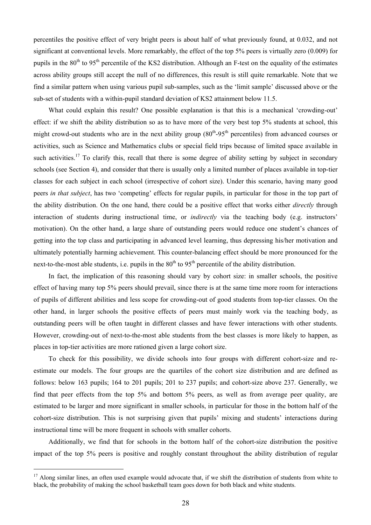percentiles the positive effect of very bright peers is about half of what previously found, at 0.032, and not significant at conventional levels. More remarkably, the effect of the top 5% peers is virtually zero (0.009) for pupils in the  $80<sup>th</sup>$  to  $95<sup>th</sup>$  percentile of the KS2 distribution. Although an F-test on the equality of the estimates across ability groups still accept the null of no differences, this result is still quite remarkable. Note that we find a similar pattern when using various pupil sub-samples, such as the 'limit sample' discussed above or the sub-set of students with a within-pupil standard deviation of KS2 attainment below 11.5.

What could explain this result? One possible explanation is that this is a mechanical 'crowding-out' effect: if we shift the ability distribution so as to have more of the very best top 5% students at school, this might crowd-out students who are in the next ability group  $(80<sup>th</sup>-95<sup>th</sup>$  percentiles) from advanced courses or activities, such as Science and Mathematics clubs or special field trips because of limited space available in such activities.<sup>17</sup> To clarify this, recall that there is some degree of ability setting by subject in secondary schools (see Section 4), and consider that there is usually only a limited number of places available in top-tier classes for each subject in each school (irrespective of cohort size). Under this scenario, having many good peers *in that subject*, has two 'competing' effects for regular pupils, in particular for those in the top part of the ability distribution. On the one hand, there could be a positive effect that works either *directly* through interaction of students during instructional time, or *indirectly* via the teaching body (e.g. instructors' motivation). On the other hand, a large share of outstanding peers would reduce one student's chances of getting into the top class and participating in advanced level learning, thus depressing his/her motivation and ultimately potentially harming achievement. This counter-balancing effect should be more pronounced for the next-to-the-most able students, i.e. pupils in the  $80<sup>th</sup>$  to  $95<sup>th</sup>$  percentile of the ability distribution.

In fact, the implication of this reasoning should vary by cohort size: in smaller schools, the positive effect of having many top 5% peers should prevail, since there is at the same time more room for interactions of pupils of different abilities and less scope for crowding-out of good students from top-tier classes. On the other hand, in larger schools the positive effects of peers must mainly work via the teaching body, as outstanding peers will be often taught in different classes and have fewer interactions with other students. However, crowding-out of next-to-the-most able students from the best classes is more likely to happen, as places in top-tier activities are more rationed given a large cohort size.

To check for this possibility, we divide schools into four groups with different cohort-size and reestimate our models. The four groups are the quartiles of the cohort size distribution and are defined as follows: below 163 pupils; 164 to 201 pupils; 201 to 237 pupils; and cohort-size above 237. Generally, we find that peer effects from the top 5% and bottom 5% peers, as well as from average peer quality, are estimated to be larger and more significant in smaller schools, in particular for those in the bottom half of the cohort-size distribution. This is not surprising given that pupils' mixing and students' interactions during instructional time will be more frequent in schools with smaller cohorts.

Additionally, we find that for schools in the bottom half of the cohort-size distribution the positive impact of the top 5% peers is positive and roughly constant throughout the ability distribution of regular

 $\overline{a}$ 

<sup>&</sup>lt;sup>17</sup> Along similar lines, an often used example would advocate that, if we shift the distribution of students from white to black, the probability of making the school basketball team goes down for both black and white students.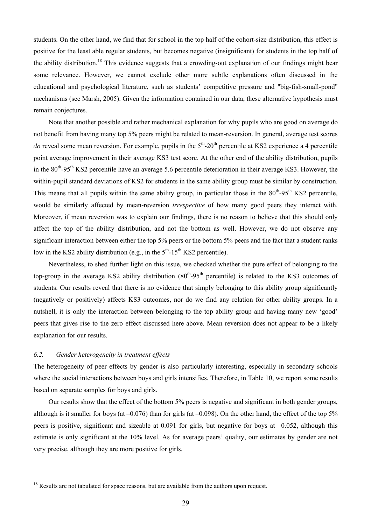students. On the other hand, we find that for school in the top half of the cohort-size distribution, this effect is positive for the least able regular students, but becomes negative (insignificant) for students in the top half of the ability distribution.18 This evidence suggests that a crowding-out explanation of our findings might bear some relevance. However, we cannot exclude other more subtle explanations often discussed in the educational and psychological literature, such as students' competitive pressure and "big-fish-small-pond" mechanisms (see Marsh, 2005). Given the information contained in our data, these alternative hypothesis must remain conjectures.

Note that another possible and rather mechanical explanation for why pupils who are good on average do not benefit from having many top 5% peers might be related to mean-reversion. In general, average test scores *do* reveal some mean reversion. For example, pupils in the  $5<sup>th</sup>$ -20<sup>th</sup> percentile at KS2 experience a 4 percentile point average improvement in their average KS3 test score. At the other end of the ability distribution, pupils in the 80<sup>th</sup>-95<sup>th</sup> KS2 percentile have an average 5.6 percentile deterioration in their average KS3. However, the within-pupil standard deviations of KS2 for students in the same ability group must be similar by construction. This means that all pupils within the same ability group, in particular those in the  $80^{th}$ -95<sup>th</sup> KS2 percentile. would be similarly affected by mean-reversion *irrespective* of how many good peers they interact with. Moreover, if mean reversion was to explain our findings, there is no reason to believe that this should only affect the top of the ability distribution, and not the bottom as well. However, we do not observe any significant interaction between either the top 5% peers or the bottom 5% peers and the fact that a student ranks low in the KS2 ability distribution (e.g., in the  $5<sup>th</sup>$ -15<sup>th</sup> KS2 percentile).

Nevertheless, to shed further light on this issue, we checked whether the pure effect of belonging to the top-group in the average KS2 ability distribution  $(80<sup>th</sup>-95<sup>th</sup>$  percentile) is related to the KS3 outcomes of students. Our results reveal that there is no evidence that simply belonging to this ability group significantly (negatively or positively) affects KS3 outcomes, nor do we find any relation for other ability groups. In a nutshell, it is only the interaction between belonging to the top ability group and having many new 'good' peers that gives rise to the zero effect discussed here above. Mean reversion does not appear to be a likely explanation for our results.

# *6.2. Gender heterogeneity in treatment effects*

 $\overline{a}$ 

The heterogeneity of peer effects by gender is also particularly interesting, especially in secondary schools where the social interactions between boys and girls intensifies. Therefore, in Table 10, we report some results based on separate samples for boys and girls.

Our results show that the effect of the bottom 5% peers is negative and significant in both gender groups, although is it smaller for boys (at  $-0.076$ ) than for girls (at  $-0.098$ ). On the other hand, the effect of the top 5% peers is positive, significant and sizeable at 0.091 for girls, but negative for boys at –0.052, although this estimate is only significant at the 10% level. As for average peers' quality, our estimates by gender are not very precise, although they are more positive for girls.

<sup>&</sup>lt;sup>18</sup> Results are not tabulated for space reasons, but are available from the authors upon request.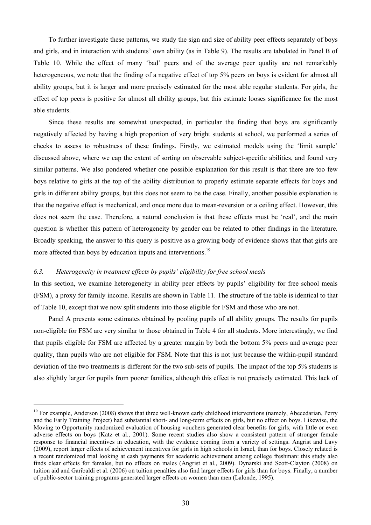To further investigate these patterns, we study the sign and size of ability peer effects separately of boys and girls, and in interaction with students' own ability (as in Table 9). The results are tabulated in Panel B of Table 10. While the effect of many 'bad' peers and of the average peer quality are not remarkably heterogeneous, we note that the finding of a negative effect of top 5% peers on boys is evident for almost all ability groups, but it is larger and more precisely estimated for the most able regular students. For girls, the effect of top peers is positive for almost all ability groups, but this estimate looses significance for the most able students.

Since these results are somewhat unexpected, in particular the finding that boys are significantly negatively affected by having a high proportion of very bright students at school, we performed a series of checks to assess to robustness of these findings. Firstly, we estimated models using the 'limit sample' discussed above, where we cap the extent of sorting on observable subject-specific abilities, and found very similar patterns. We also pondered whether one possible explanation for this result is that there are too few boys relative to girls at the top of the ability distribution to properly estimate separate effects for boys and girls in different ability groups, but this does not seem to be the case. Finally, another possible explanation is that the negative effect is mechanical, and once more due to mean-reversion or a ceiling effect. However, this does not seem the case. Therefore, a natural conclusion is that these effects must be 'real', and the main question is whether this pattern of heterogeneity by gender can be related to other findings in the literature. Broadly speaking, the answer to this query is positive as a growing body of evidence shows that that girls are more affected than boys by education inputs and interventions.<sup>19</sup>

# *6.3. Heterogeneity in treatment effects by pupils' eligibility for free school meals*

 $\overline{a}$ 

In this section, we examine heterogeneity in ability peer effects by pupils' eligibility for free school meals (FSM), a proxy for family income. Results are shown in Table 11. The structure of the table is identical to that of Table 10, except that we now split students into those eligible for FSM and those who are not.

Panel A presents some estimates obtained by pooling pupils of all ability groups. The results for pupils non-eligible for FSM are very similar to those obtained in Table 4 for all students. More interestingly, we find that pupils eligible for FSM are affected by a greater margin by both the bottom 5% peers and average peer quality, than pupils who are not eligible for FSM. Note that this is not just because the within-pupil standard deviation of the two treatments is different for the two sub-sets of pupils. The impact of the top 5% students is also slightly larger for pupils from poorer families, although this effect is not precisely estimated. This lack of

<sup>&</sup>lt;sup>19</sup> For example, Anderson (2008) shows that three well-known early childhood interventions (namely, Abecedarian, Perry and the Early Training Project) had substantial short- and long-term effects on girls, but no effect on boys. Likewise, the Moving to Opportunity randomized evaluation of housing vouchers generated clear benefits for girls, with little or even adverse effects on boys (Katz et al., 2001). Some recent studies also show a consistent pattern of stronger female response to financial incentives in education, with the evidence coming from a variety of settings. Angrist and Lavy (2009), report larger effects of achievement incentives for girls in high schools in Israel, than for boys. Closely related is a recent randomized trial looking at cash payments for academic achievement among college freshman: this study also finds clear effects for females, but no effects on males (Angrist et al., 2009). Dynarski and Scott-Clayton (2008) on tuition aid and Garibaldi et al. (2006) on tuition penalties also find larger effects for girls than for boys. Finally, a number of public-sector training programs generated larger effects on women than men (Lalonde, 1995).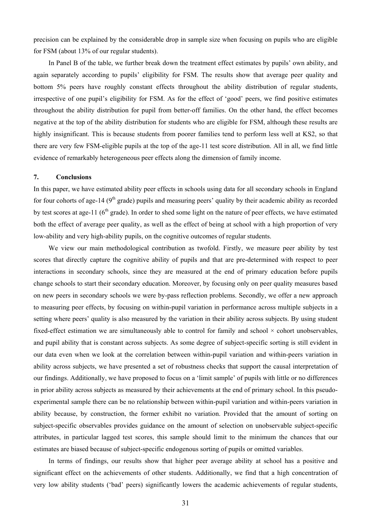precision can be explained by the considerable drop in sample size when focusing on pupils who are eligible for FSM (about 13% of our regular students).

In Panel B of the table, we further break down the treatment effect estimates by pupils' own ability, and again separately according to pupils' eligibility for FSM. The results show that average peer quality and bottom 5% peers have roughly constant effects throughout the ability distribution of regular students, irrespective of one pupil's eligibility for FSM. As for the effect of 'good' peers, we find positive estimates throughout the ability distribution for pupil from better-off families. On the other hand, the effect becomes negative at the top of the ability distribution for students who are eligible for FSM, although these results are highly insignificant. This is because students from poorer families tend to perform less well at KS2, so that there are very few FSM-eligible pupils at the top of the age-11 test score distribution. All in all, we find little evidence of remarkably heterogeneous peer effects along the dimension of family income.

#### **7. Conclusions**

In this paper, we have estimated ability peer effects in schools using data for all secondary schools in England for four cohorts of age-14 ( $9<sup>th</sup>$  grade) pupils and measuring peers' quality by their academic ability as recorded by test scores at age-11 ( $6<sup>th</sup>$  grade). In order to shed some light on the nature of peer effects, we have estimated both the effect of average peer quality, as well as the effect of being at school with a high proportion of very low-ability and very high-ability pupils, on the cognitive outcomes of regular students.

We view our main methodological contribution as twofold. Firstly, we measure peer ability by test scores that directly capture the cognitive ability of pupils and that are pre-determined with respect to peer interactions in secondary schools, since they are measured at the end of primary education before pupils change schools to start their secondary education. Moreover, by focusing only on peer quality measures based on new peers in secondary schools we were by-pass reflection problems. Secondly, we offer a new approach to measuring peer effects, by focusing on within-pupil variation in performance across multiple subjects in a setting where peers' quality is also measured by the variation in their ability across subjects. By using student fixed-effect estimation we are simultaneously able to control for family and school  $\times$  cohort unobservables, and pupil ability that is constant across subjects. As some degree of subject-specific sorting is still evident in our data even when we look at the correlation between within-pupil variation and within-peers variation in ability across subjects, we have presented a set of robustness checks that support the causal interpretation of our findings. Additionally, we have proposed to focus on a 'limit sample' of pupils with little or no differences in prior ability across subjects as measured by their achievements at the end of primary school. In this pseudoexperimental sample there can be no relationship between within-pupil variation and within-peers variation in ability because, by construction, the former exhibit no variation. Provided that the amount of sorting on subject-specific observables provides guidance on the amount of selection on unobservable subject-specific attributes, in particular lagged test scores, this sample should limit to the minimum the chances that our estimates are biased because of subject-specific endogenous sorting of pupils or omitted variables.

In terms of findings, our results show that higher peer average ability at school has a positive and significant effect on the achievements of other students. Additionally, we find that a high concentration of very low ability students ('bad' peers) significantly lowers the academic achievements of regular students,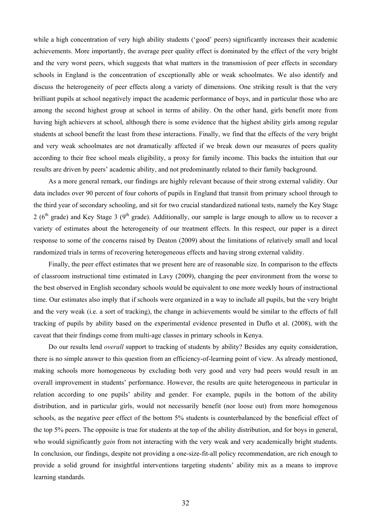while a high concentration of very high ability students ('good' peers) significantly increases their academic achievements. More importantly, the average peer quality effect is dominated by the effect of the very bright and the very worst peers, which suggests that what matters in the transmission of peer effects in secondary schools in England is the concentration of exceptionally able or weak schoolmates. We also identify and discuss the heterogeneity of peer effects along a variety of dimensions. One striking result is that the very brilliant pupils at school negatively impact the academic performance of boys, and in particular those who are among the second highest group at school in terms of ability. On the other hand, girls benefit more from having high achievers at school, although there is some evidence that the highest ability girls among regular students at school benefit the least from these interactions. Finally, we find that the effects of the very bright and very weak schoolmates are not dramatically affected if we break down our measures of peers quality according to their free school meals eligibility, a proxy for family income. This backs the intuition that our results are driven by peers' academic ability, and not predominantly related to their family background.

As a more general remark, our findings are highly relevant because of their strong external validity. Our data includes over 90 percent of four cohorts of pupils in England that transit from primary school through to the third year of secondary schooling, and sit for two crucial standardized national tests, namely the Key Stage 2 ( $6<sup>th</sup>$  grade) and Key Stage 3 ( $9<sup>th</sup>$  grade). Additionally, our sample is large enough to allow us to recover a variety of estimates about the heterogeneity of our treatment effects. In this respect, our paper is a direct response to some of the concerns raised by Deaton (2009) about the limitations of relatively small and local randomized trials in terms of recovering heterogeneous effects and having strong external validity.

Finally, the peer effect estimates that we present here are of reasonable size. In comparison to the effects of classroom instructional time estimated in Lavy (2009), changing the peer environment from the worse to the best observed in English secondary schools would be equivalent to one more weekly hours of instructional time. Our estimates also imply that if schools were organized in a way to include all pupils, but the very bright and the very weak (i.e. a sort of tracking), the change in achievements would be similar to the effects of full tracking of pupils by ability based on the experimental evidence presented in Duflo et al. (2008), with the caveat that their findings come from multi-age classes in primary schools in Kenya.

Do our results lend *overall* support to tracking of students by ability? Besides any equity consideration, there is no simple answer to this question from an efficiency-of-learning point of view. As already mentioned, making schools more homogeneous by excluding both very good and very bad peers would result in an overall improvement in students' performance. However, the results are quite heterogeneous in particular in relation according to one pupils' ability and gender. For example, pupils in the bottom of the ability distribution, and in particular girls, would not necessarily benefit (nor loose out) from more homogenous schools, as the negative peer effect of the bottom 5% students is counterbalanced by the beneficial effect of the top 5% peers. The opposite is true for students at the top of the ability distribution, and for boys in general, who would significantly *gain* from not interacting with the very weak and very academically bright students. In conclusion, our findings, despite not providing a one-size-fit-all policy recommendation, are rich enough to provide a solid ground for insightful interventions targeting students' ability mix as a means to improve learning standards.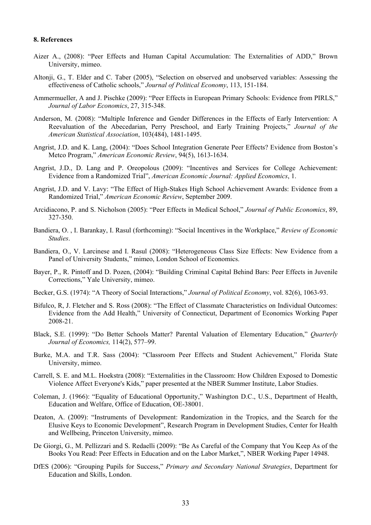#### **8. References**

- Aizer A., (2008): "Peer Effects and Human Capital Accumulation: The Externalities of ADD," Brown University, mimeo.
- Altonji, G., T. Elder and C. Taber (2005), "Selection on observed and unobserved variables: Assessing the effectiveness of Catholic schools," *Journal of Political Economy*, 113, 151-184.
- Ammermueller, A and J. Pischke (2009): "Peer Effects in European Primary Schools: Evidence from PIRLS," *Journal of Labor Economics*, 27, 315-348.
- Anderson, M. (2008): "Multiple Inference and Gender Differences in the Effects of Early Intervention: A Reevaluation of the Abecedarian, Perry Preschool, and Early Training Projects," *Journal of the American Statistical Association*, 103(484), 1481-1495.
- Angrist, J.D. and K. Lang, (2004): "Does School Integration Generate Peer Effects? Evidence from Boston's Metco Program," *American Economic Review*, 94(5), 1613-1634.
- Angrist, J.D., D. Lang and P. Oreopolous (2009): "Incentives and Services for College Achievement: Evidence from a Randomized Trial", *American Economic Journal: Applied Economics*, 1.
- Angrist, J.D. and V. Lavy: "The Effect of High-Stakes High School Achievement Awards: Evidence from a Randomized Trial," *American Economic Review*, September 2009.
- Arcidiacono, P. and S. Nicholson (2005): "Peer Effects in Medical School," *Journal of Public Economics*, 89, 327-350.
- Bandiera, O. , I. Barankay, I. Rasul (forthcoming): "Social Incentives in the Workplace," *Review of Economic Studies*.
- Bandiera, O., V. Larcinese and I. Rasul (2008): "Heterogeneous Class Size Effects: New Evidence from a Panel of University Students," mimeo, London School of Economics.
- Bayer, P., R. Pintoff and D. Pozen, (2004): "Building Criminal Capital Behind Bars: Peer Effects in Juvenile Corrections," Yale University, mimeo.
- Becker, G.S. (1974): "A Theory of Social Interactions," *Journal of Political Economy*, vol. 82(6), 1063-93.
- Bifulco, R, J. Fletcher and S. Ross (2008): "The Effect of Classmate Characteristics on Individual Outcomes: Evidence from the Add Health," University of Connecticut, Department of Economics Working Paper 2008-21.
- Black, S.E. (1999): "Do Better Schools Matter? Parental Valuation of Elementary Education," *Quarterly Journal of Economics,* 114(2), 577–99.
- Burke, M.A. and T.R. Sass (2004): "Classroom Peer Effects and Student Achievement," Florida State University, mimeo.
- Carrell, S. E. and M.L. Hoekstra (2008): "Externalities in the Classroom: How Children Exposed to Domestic Violence Affect Everyone's Kids," paper presented at the NBER Summer Institute, Labor Studies.
- Coleman, J. (1966): "Equality of Educational Opportunity," Washington D.C., U.S., Department of Health, Education and Welfare, Office of Education, OE-38001.
- Deaton, A. (2009): "Instruments of Development: Randomization in the Tropics, and the Search for the Elusive Keys to Economic Development", Research Program in Development Studies, Center for Health and Wellbeing, Princeton University, mimeo.
- De Giorgi, G., M. Pellizzari and S. Redaelli (2009): "Be As Careful of the Company that You Keep As of the Books You Read: Peer Effects in Education and on the Labor Market,", NBER Working Paper 14948.
- DfES (2006): "Grouping Pupils for Success," *Primary and Secondary National Strategies*, Department for Education and Skills, London.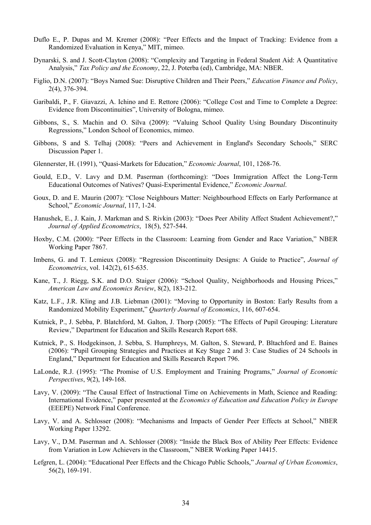- Duflo E., P. Dupas and M. Kremer (2008): "Peer Effects and the Impact of Tracking: Evidence from a Randomized Evaluation in Kenya," MIT, mimeo.
- Dynarski, S. and J. Scott-Clayton (2008): "Complexity and Targeting in Federal Student Aid: A Quantitative Analysis," *Tax Policy and the Economy*, 22, J. Poterba (ed), Cambridge, MA: NBER.
- Figlio, D.N. (2007): "Boys Named Sue: Disruptive Children and Their Peers," *Education Finance and Policy*, 2(4), 376-394.
- Garibaldi, P., F. Giavazzi, A. Ichino and E. Rettore (2006): "College Cost and Time to Complete a Degree: Evidence from Discontinuities", University of Bologna, mimeo.
- Gibbons, S., S. Machin and O. Silva (2009): "Valuing School Quality Using Boundary Discontinuity Regressions," London School of Economics, mimeo.
- Gibbons, S and S. Telhaj (2008): "Peers and Achievement in England's Secondary Schools," SERC Discussion Paper 1.
- Glennerster, H. (1991), "Quasi-Markets for Education," *Economic Journal*, 101, 1268-76.
- Gould, E.D., V. Lavy and D.M. Paserman (forthcoming): "Does Immigration Affect the Long-Term Educational Outcomes of Natives? Quasi-Experimental Evidence," *Economic Journal*.
- Goux, D. and E. Maurin (2007): "Close Neighbours Matter: Neighbourhood Effects on Early Performance at School," *Economic Journal*, 117, 1-24.
- Hanushek, E., J. Kain, J. Markman and S. Rivkin (2003): "Does Peer Ability Affect Student Achievement?," *Journal of Applied Econometrics*,18(5), 527-544.
- Hoxby, C.M. (2000): "Peer Effects in the Classroom: Learning from Gender and Race Variation," NBER Working Paper 7867.
- Imbens, G. and T. Lemieux (2008): "Regression Discontinuity Designs: A Guide to Practice", *Journal of Econometrics*, vol. 142(2), 615-635.
- Kane, T., J. Riegg, S.K. and D.O. Staiger (2006): "School Quality, Neighborhoods and Housing Prices," *American Law and Economics Review*, 8(2), 183-212.
- Katz, L.F., J.R. Kling and J.B. Liebman (2001): "Moving to Opportunity in Boston: Early Results from a Randomized Mobility Experiment," *Quarterly Journal of Economics*, 116, 607-654.
- Kutnick, P., J. Sebba, P. Blatchford, M. Galton, J. Thorp (2005): "The Effects of Pupil Grouping: Literature Review," Department for Education and Skills Research Report 688.
- Kutnick, P., S. Hodgekinson, J. Sebba, S. Humphreys, M. Galton, S. Steward, P. Bltachford and E. Baines (2006): "Pupil Grouping Strategies and Practices at Key Stage 2 and 3: Case Studies of 24 Schools in England," Department for Education and Skills Research Report 796.
- LaLonde, R.J. (1995): "The Promise of U.S. Employment and Training Programs," *Journal of Economic Perspectives*, 9(2), 149-168.
- Lavy, V. (2009): "The Causal Effect of Instructional Time on Achievements in Math, Science and Reading: International Evidence," paper presented at the *Economics of Education and Education Policy in Europe* (EEEPE) Network Final Conference.
- Lavy, V. and A. Schlosser (2008): "Mechanisms and Impacts of Gender Peer Effects at School," NBER Working Paper 13292.
- Lavy, V., D.M. Paserman and A. Schlosser (2008): "Inside the Black Box of Ability Peer Effects: Evidence from Variation in Low Achievers in the Classroom," NBER Working Paper 14415.
- Lefgren, L. (2004): "Educational Peer Effects and the Chicago Public Schools," *Journal of Urban Economics*, 56(2), 169-191.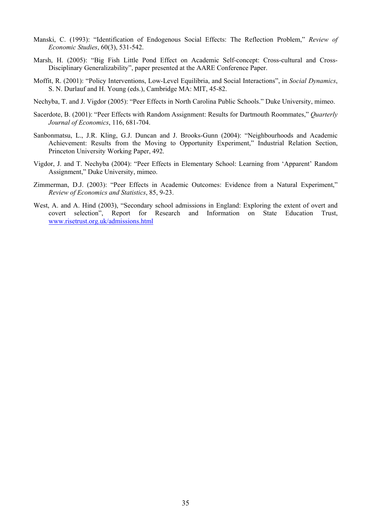- Manski, C. (1993): "Identification of Endogenous Social Effects: The Reflection Problem," *Review of Economic Studies*, 60(3), 531-542.
- Marsh, H. (2005): "Big Fish Little Pond Effect on Academic Self-concept: Cross-cultural and Cross-Disciplinary Generalizability", paper presented at the AARE Conference Paper.
- Moffit, R. (2001): "Policy Interventions, Low-Level Equilibria, and Social Interactions", in *Social Dynamics*, S. N. Durlauf and H. Young (eds.), Cambridge MA: MIT, 45-82.
- Nechyba, T. and J. Vigdor (2005): "Peer Effects in North Carolina Public Schools." Duke University, mimeo.
- Sacerdote, B. (2001): "Peer Effects with Random Assignment: Results for Dartmouth Roommates," *Quarterly Journal of Economics*, 116, 681-704.
- Sanbonmatsu, L., J.R. Kling, G.J. Duncan and J. Brooks-Gunn (2004): "Neighbourhoods and Academic Achievement: Results from the Moving to Opportunity Experiment," Industrial Relation Section, Princeton University Working Paper, 492.
- Vigdor, J. and T. Nechyba (2004): "Peer Effects in Elementary School: Learning from 'Apparent' Random Assignment," Duke University, mimeo.
- Zimmerman, D.J. (2003): "Peer Effects in Academic Outcomes: Evidence from a Natural Experiment," *Review of Economics and Statistics*, 85, 9-23.
- West, A. and A. Hind (2003), "Secondary school admissions in England: Exploring the extent of overt and covert selection", Report for Research and Information on State Education Trust, www.risetrust.org.uk/admissions.html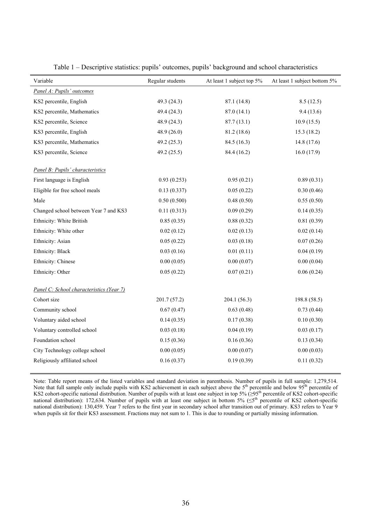| Variable                                 | Regular students | At least 1 subject top 5% | At least 1 subject bottom 5% |
|------------------------------------------|------------------|---------------------------|------------------------------|
| Panel A: Pupils' outcomes                |                  |                           |                              |
| KS2 percentile, English                  | 49.3 (24.3)      | 87.1 (14.8)               | 8.5(12.5)                    |
| KS2 percentile, Mathematics              | 49.4 (24.3)      | 87.0(14.1)                | 9.4(13.6)                    |
| KS2 percentile, Science                  | 48.9 (24.3)      | 87.7(13.1)                | 10.9(15.5)                   |
| KS3 percentile, English                  | 48.9(26.0)       | 81.2 (18.6)               | 15.3(18.2)                   |
| KS3 percentile, Mathematics              | 49.2 (25.3)      | 84.5 (16.3)               | 14.8(17.6)                   |
| KS3 percentile, Science                  | 49.2 (25.5)      | 84.4 (16.2)               | 16.0(17.9)                   |
| Panel B: Pupils' characteristics         |                  |                           |                              |
| First language is English                | 0.93(0.253)      | 0.95(0.21)                | 0.89(0.31)                   |
| Eligible for free school meals           | 0.13(0.337)      | 0.05(0.22)                | 0.30(0.46)                   |
| Male                                     | 0.50(0.500)      | 0.48(0.50)                | 0.55(0.50)                   |
| Changed school between Year 7 and KS3    | 0.11(0.313)      | 0.09(0.29)                | 0.14(0.35)                   |
| Ethnicity: White British                 | 0.85(0.35)       | 0.88(0.32)                | 0.81(0.39)                   |
| Ethnicity: White other                   | 0.02(0.12)       | 0.02(0.13)                | 0.02(0.14)                   |
| Ethnicity: Asian                         | 0.05(0.22)       | 0.03(0.18)                | 0.07(0.26)                   |
| Ethnicity: Black                         | 0.03(0.16)       | 0.01(0.11)                | 0.04(0.19)                   |
| Ethnicity: Chinese                       | 0.00(0.05)       | 0.00(0.07)                | 0.00(0.04)                   |
| Ethnicity: Other                         | 0.05(0.22)       | 0.07(0.21)                | 0.06(0.24)                   |
| Panel C: School characteristics (Year 7) |                  |                           |                              |
| Cohort size                              | 201.7(57.2)      | 204.1(56.3)               | 198.8 (58.5)                 |
| Community school                         | 0.67(0.47)       | 0.63(0.48)                | 0.73(0.44)                   |
| Voluntary aided school                   | 0.14(0.35)       | 0.17(0.38)                | 0.10(0.30)                   |
| Voluntary controlled school              | 0.03(0.18)       | 0.04(0.19)                | 0.03(0.17)                   |
| Foundation school                        | 0.15(0.36)       | 0.16(0.36)                | 0.13(0.34)                   |
| City Technology college school           | 0.00(0.05)       | 0.00(0.07)                | 0.00(0.03)                   |
| Religiously affiliated school            | 0.16(0.37)       | 0.19(0.39)                | 0.11(0.32)                   |

Table 1 – Descriptive statistics: pupils' outcomes, pupils' background and school characteristics

Note: Table report means of the listed variables and standard deviation in parenthesis. Number of pupils in full sample: 1,279,514. Note that full sample only include pupils with KS2 achievement in each subject above the  $5<sup>th</sup>$  percentile and below  $95<sup>th</sup>$  percentile of KS2 cohort-specific national distribution. Number of pupils with at least one subject in top 5% ( $\geq 95$ <sup>th</sup> percentile of KS2 cohort-specific national distribution): 172,634. Number of pupils with at least one subject in bottom  $5\%$  ( $\leq$ <sup>th</sup> percentile of KS2 cohort-specific national distribution): 130,459. Year 7 refers to the first year in secondary school after transition out of primary. KS3 refers to Year 9 when pupils sit for their KS3 assessment. Fractions may not sum to 1. This is due to rounding or partially missing information.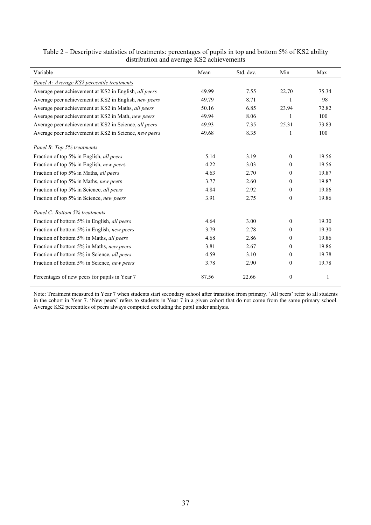| Variable                                              | Mean  | Std. dev. | Min              | Max   |
|-------------------------------------------------------|-------|-----------|------------------|-------|
| Panel A: Average KS2 percentile treatments            |       |           |                  |       |
| Average peer achievement at KS2 in English, all peers | 49.99 | 7.55      | 22.70            | 75.34 |
| Average peer achievement at KS2 in English, new peers | 49.79 | 8.71      | 1                | 98    |
| Average peer achievement at KS2 in Maths, all peers   | 50.16 | 6.85      | 23.94            | 72.82 |
| Average peer achievement at KS2 in Math, new peers    | 49.94 | 8.06      |                  | 100   |
| Average peer achievement at KS2 in Science, all peers | 49.93 | 7.35      | 25.31            | 73.83 |
| Average peer achievement at KS2 in Science, new peers | 49.68 | 8.35      | 1                | 100   |
| Panel B: Top 5% treatments                            |       |           |                  |       |
| Fraction of top 5% in English, all peers              | 5.14  | 3.19      | $\theta$         | 19.56 |
| Fraction of top 5% in English, new peers              | 4.22  | 3.03      | $\mathbf{0}$     | 19.56 |
| Fraction of top 5% in Maths, all peers                | 4.63  | 2.70      | $\theta$         | 19.87 |
| Fraction of top 5% in Maths, new peers                | 3.77  | 2.60      | $\theta$         | 19.87 |
| Fraction of top 5% in Science, all peers              | 4.84  | 2.92      | $\theta$         | 19.86 |
| Fraction of top 5% in Science, new peers              | 3.91  | 2.75      | $\boldsymbol{0}$ | 19.86 |
| Panel C: Bottom 5% treatments                         |       |           |                  |       |
| Fraction of bottom 5% in English, all peers           | 4.64  | 3.00      | $\theta$         | 19.30 |
| Fraction of bottom 5% in English, new peers           | 3.79  | 2.78      | $\theta$         | 19.30 |
| Fraction of bottom 5% in Maths, all peers             | 4.68  | 2.86      | $\mathbf{0}$     | 19.86 |
| Fraction of bottom 5% in Maths, new peers             | 3.81  | 2.67      | $\mathbf{0}$     | 19.86 |
| Fraction of bottom 5% in Science, all peers           | 4.59  | 3.10      | $\mathbf{0}$     | 19.78 |
| Fraction of bottom 5% in Science, new peers           | 3.78  | 2.90      | $\boldsymbol{0}$ | 19.78 |
| Percentages of new peers for pupils in Year 7         | 87.56 | 22.66     | $\boldsymbol{0}$ | 1     |

Table 2 – Descriptive statistics of treatments: percentages of pupils in top and bottom 5% of KS2 ability distribution and average KS2 achievements

Note: Treatment measured in Year 7 when students start secondary school after transition from primary. 'All peers' refer to all students in the cohort in Year 7. 'New peers' refers to students in Year 7 in a given cohort that do not come from the same primary school. Average KS2 percentiles of peers always computed excluding the pupil under analysis.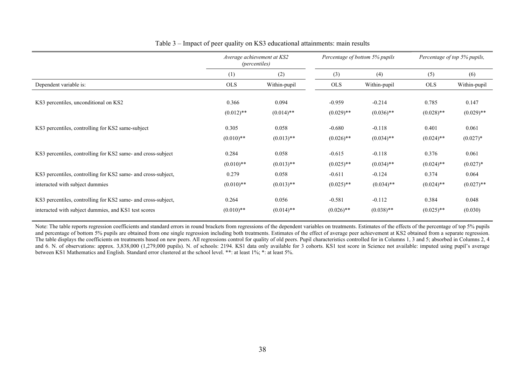|                                                                                                                       | Average achievement at KS2<br><i>(percentiles)</i> |                       | Percentage of bottom 5% pupils |                          | Percentage of top 5% pupils, |                       |
|-----------------------------------------------------------------------------------------------------------------------|----------------------------------------------------|-----------------------|--------------------------------|--------------------------|------------------------------|-----------------------|
|                                                                                                                       | (1)                                                | (2)                   | (3)                            | (4)                      | (5)                          | (6)                   |
| Dependent variable is:                                                                                                | <b>OLS</b>                                         | Within-pupil          | <b>OLS</b>                     | Within-pupil             | <b>OLS</b>                   | Within-pupil          |
| KS3 percentiles, unconditional on KS2                                                                                 | 0.366<br>$(0.012)$ **                              | 0.094<br>$(0.014)$ ** | $-0.959$<br>$(0.029)$ **       | $-0.214$<br>$(0.036)$ ** | 0.785<br>$(0.028)$ **        | 0.147<br>$(0.029)$ ** |
| KS3 percentiles, controlling for KS2 same-subject                                                                     | 0.305<br>$(0.010)$ **                              | 0.058<br>$(0.013)$ ** | $-0.680$<br>$(0.026)$ **       | $-0.118$<br>$(0.034)$ ** | 0.401<br>$(0.024)$ **        | 0.061<br>$(0.027)$ *  |
| KS3 percentiles, controlling for KS2 same- and cross-subject                                                          | 0.284<br>$(0.010)$ **                              | 0.058<br>$(0.013)$ ** | $-0.615$<br>$(0.025)$ **       | $-0.118$<br>$(0.034)$ ** | 0.376<br>$(0.024)$ **        | 0.061<br>$(0.027)$ *  |
| KS3 percentiles, controlling for KS2 same- and cross-subject,                                                         | 0.279                                              | 0.058                 | $-0.611$                       | $-0.124$                 | 0.374                        | 0.064                 |
| interacted with subject dummies                                                                                       | $(0.010)$ **                                       | $(0.013)$ **          | $(0.025)$ **                   | $(0.034)$ **             | $(0.024)$ **                 | $(0.027)$ **          |
| KS3 percentiles, controlling for KS2 same- and cross-subject,<br>interacted with subject dummies, and KS1 test scores | 0.264<br>$(0.010)$ **                              | 0.056<br>$(0.014)$ ** | $-0.581$<br>$(0.026)$ **       | $-0.112$<br>$(0.038)$ ** | 0.384<br>$(0.025)$ **        | 0.048<br>(0.030)      |

#### Table 3 – Impact of peer quality on KS3 educational attainments: main results

Note: The table reports regression coefficients and standard errors in round brackets from regressions of the dependent variables on treatments. Estimates of the effects of the percentage of top 5% pupils and percentage of bottom 5% pupils are obtained from one single regression including both treatments. Estimates of the effect of average peer achievement at KS2 obtained from a separate regression. The table displays the coefficients on treatments based on new peers. All regressions control for quality of old peers. Pupil characteristics controlled for in Columns 1, 3 and 5; absorbed in Columns 2, 4 and 6. N. of observations: approx. 3,838,000 (1,279,000 pupils). N. of schools: 2194. KS1 data only available for 3 cohorts. KS1 test score in Science not available: imputed using pupil's average between KS1 Mathematics and English. Standard error clustered at the school level. \*\*: at least 1%; \*: at least 5%.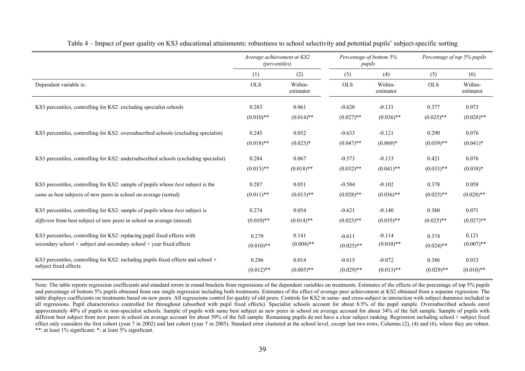|                                                                                                                                                                | Average achievement at KS2<br><i>(percentiles)</i> |                       | Percentage of bottom 5%<br>pupils |                          |                       | Percentage of top 5% pupils |  |
|----------------------------------------------------------------------------------------------------------------------------------------------------------------|----------------------------------------------------|-----------------------|-----------------------------------|--------------------------|-----------------------|-----------------------------|--|
|                                                                                                                                                                | (1)                                                | (2)                   | (3)                               | (4)                      | (5)                   | (6)                         |  |
| Dependent variable is:                                                                                                                                         | <b>OLS</b>                                         | Within-<br>estimator  | <b>OLS</b>                        | Within-<br>estimator     | <b>OLS</b>            | Within-<br>estimator        |  |
| KS3 percentiles, controlling for KS2: excluding specialist schools                                                                                             | 0.283                                              | 0.061                 | $-0.620$                          | $-0.131$                 | 0.377                 | 0.073                       |  |
|                                                                                                                                                                | $(0.010)$ **                                       | $(0.014)$ **          | $(0.027)$ **                      | $(0.036)$ **             | $(0.025)$ **          | $(0.028)$ **                |  |
| KS3 percentiles, controlling for KS2: oversubscribed schools (excluding specialist)                                                                            | 0.245                                              | 0.052                 | $-0.633$                          | $-0.121$                 | 0.290                 | 0.076                       |  |
|                                                                                                                                                                | $(0.018)$ **                                       | $(0.023)*$            | $(0.047)$ **                      | $(0.069)*$               | $(0.039)$ **          | $(0.041)^*$                 |  |
| KS3 percentiles, controlling for KS2: undersubscribed schools (excluding specialist)                                                                           | 0.284                                              | 0.067                 | $-0.573$                          | $-0.133$                 | 0.421                 | 0.076                       |  |
|                                                                                                                                                                | $(0.013)$ **                                       | $(0.018)$ **          | $(0.032)$ **                      | $(0.041)$ **             | $(0.033)$ **          | $(0.038)*$                  |  |
| KS3 percentiles, controlling for KS2: sample of pupils whose <i>best</i> subject is the                                                                        | 0.287                                              | 0.051                 | $-0.584$                          | $-0.102$                 | 0.378                 | 0.058                       |  |
| same as best subjects of new peers in school on average (sorted)                                                                                               | $(0.011)$ **                                       | $(0.013)$ **          | $(0.028)$ **                      | $(0.036)$ **             | $(0.025)$ **          | $(0.028)$ **                |  |
| KS3 percentiles, controlling for KS2: sample of pupils whose <i>best</i> subject is                                                                            | 0.274                                              | 0.054                 | $-0.621$                          | $-0.140$                 | 0.380                 | 0.071                       |  |
| different from best subject of new peers in school on average (mixed)                                                                                          | $(0.010)$ **                                       | $(0.014)$ **          | $(0.025)$ **                      | $(0.035)$ **             | $(0.025)$ **          | $(0.027)$ **                |  |
| KS3 percentiles, controlling for KS2: replacing pupil fixed effects with<br>secondary school $\times$ subject and secondary school $\times$ year fixed effects | 0.279<br>$(0.010)$ **                              | 0.141<br>$(0.004)$ ** | $-0.611$<br>$(0.025)$ **          | $-0.114$<br>$(0.010)**$  | 0.374<br>$(0.024)$ ** | 0.121<br>$(0.007)$ **       |  |
| KS3 percentiles, controlling for KS2: including pupils fixed effects and school $\times$<br>subject fixed effects                                              | 0.286<br>$(0.012)$ **                              | 0.014<br>$(0.005)$ ** | $-0.615$<br>$(0.029)$ **          | $-0.072$<br>$(0.013)$ ** | 0.386<br>$(0.029)$ ** | 0.033<br>$(0.010)$ **       |  |

| Table 4 – Impact of peer quality on KS3 educational attainments: robustness to school selectivity and potential pupils' subject-specific sorting |  |  |  |  |  |  |  |  |
|--------------------------------------------------------------------------------------------------------------------------------------------------|--|--|--|--|--|--|--|--|
|                                                                                                                                                  |  |  |  |  |  |  |  |  |

Note: The table reports regression coefficients and standard errors in round brackets from regressions of the dependent variables on treatments. Estimates of the effects of the percentage of top 5% pupils and percentage of bottom 5% pupils obtained from one single regression including both treatments. Estimates of the effect of average peer achievement at KS2 obtained from a separate regression. The table displays coefficients on treatments based on new peers. All regressions control for quality of old peers. Controls for KS2 in same- and cross-subject in interaction with subject dummies included in all regressions. Pupil characteristics controlled for throughout (absorbed with pupil fixed effects). Specialist schools account for about 8.5% of the pupil sample. Oversubscribed schools enrol approximately 40% of pupils in non-specialist schools. Sample of pupils with same best subject as new peers in school on average account for about  $34\%$  of the full sample. Sample of pupils with different best subject from new peers in school on average account for about 59% of the full sample. Remaining pupils do not have a clear subject ranking. Regression including school × subject fixed effect only considers the first cohort (year 7 in 2002) and last cohort (year 7 in 2005). Standard error clustered at the school level, except last two rows, Columns (2), (4) and (6), where they are robust. \*\*: at least 1% significant; \*: at least 5% significant.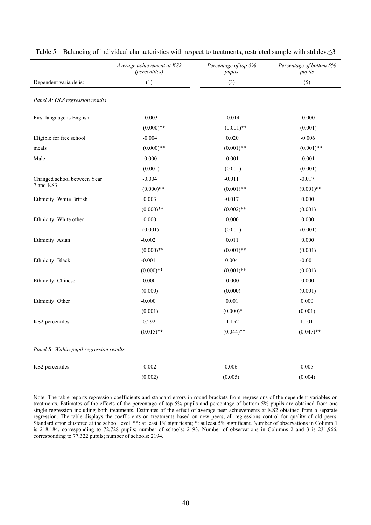|                                          | Average achievement at KS2<br>(percentiles) | Percentage of top 5%<br>pupils | Percentage of bottom 5%<br>pupils |
|------------------------------------------|---------------------------------------------|--------------------------------|-----------------------------------|
| Dependent variable is:                   | (1)                                         | (3)                            | (5)                               |
| Panel A: OLS regression results          |                                             |                                |                                   |
| First language is English                | 0.003                                       | $-0.014$                       | 0.000                             |
|                                          | $(0.000)**$                                 | $(0.001)$ **                   | (0.001)                           |
| Eligible for free school                 | $-0.004$                                    | 0.020                          | $-0.006$                          |
| meals                                    | $(0.000)**$                                 | $(0.001)$ **                   | $(0.001)$ **                      |
| Male                                     | 0.000                                       | $-0.001$                       | 0.001                             |
|                                          | (0.001)                                     | (0.001)                        | (0.001)                           |
| Changed school between Year              | $-0.004$                                    | $-0.011$                       | $-0.017$                          |
| 7 and KS3                                | $(0.000)$ **                                | $(0.001)$ **                   | $(0.001)$ **                      |
| Ethnicity: White British                 | 0.003                                       | $-0.017$                       | 0.000                             |
|                                          | $(0.000)$ **                                | $(0.002)$ **                   | (0.001)                           |
| Ethnicity: White other                   | 0.000                                       | 0.000                          | 0.000                             |
|                                          | (0.001)                                     | (0.001)                        | (0.001)                           |
| Ethnicity: Asian                         | $-0.002$                                    | 0.011                          | 0.000                             |
|                                          | $(0.000)$ **                                | $(0.001)$ **                   | (0.001)                           |
| Ethnicity: Black                         | $-0.001$                                    | 0.004                          | $-0.001$                          |
|                                          | $(0.000)$ **                                | $(0.001)$ **                   | (0.001)                           |
| Ethnicity: Chinese                       | $-0.000$                                    | $-0.000$                       | 0.000                             |
|                                          | (0.000)                                     | (0.000)                        | (0.001)                           |
| Ethnicity: Other                         | $-0.000$                                    | 0.001                          | 0.000                             |
|                                          | (0.001)                                     | $(0.000)*$                     | (0.001)                           |
| KS2 percentiles                          | 0.292                                       | $-1.152$                       | 1.101                             |
|                                          | $(0.015)$ **                                | $(0.044)$ **                   | $(0.047)$ **                      |
| Panel B: Within-pupil regression results |                                             |                                |                                   |
| KS2 percentiles                          | 0.002                                       | $-0.006$                       | 0.005                             |
|                                          | (0.002)                                     | (0.005)                        | (0.004)                           |

|  | Table 5 – Balancing of individual characteristics with respect to treatments; restricted sample with std.dev. $\leq$ 3 |  |
|--|------------------------------------------------------------------------------------------------------------------------|--|
|  |                                                                                                                        |  |

Note: The table reports regression coefficients and standard errors in round brackets from regressions of the dependent variables on treatments. Estimates of the effects of the percentage of top 5% pupils and percentage of bottom 5% pupils are obtained from one single regression including both treatments. Estimates of the effect of average peer achievements at KS2 obtained from a separate regression. The table displays the coefficients on treatments based on new peers; all regressions control for quality of old peers. Standard error clustered at the school level. \*\*: at least 1% significant; \*: at least 5% significant. Number of observations in Column 1 is 218,184, corresponding to 72,728 pupils; number of schools: 2193. Number of observations in Columns 2 and 3 is 231,966, corresponding to 77,322 pupils; number of schools: 2194.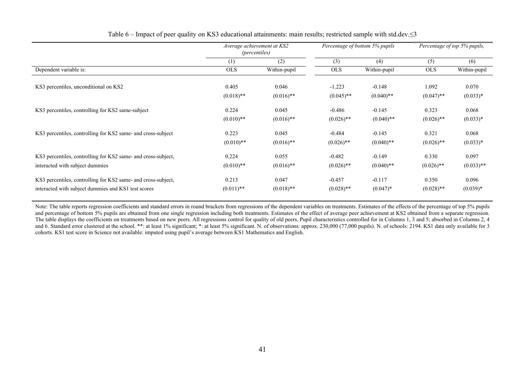|                                                                                                                      | Average achievement at KS2<br><i>(percentiles)</i> |                       |                          | Percentage of bottom 5% pupils | Percentage of top 5% pupils, |                       |
|----------------------------------------------------------------------------------------------------------------------|----------------------------------------------------|-----------------------|--------------------------|--------------------------------|------------------------------|-----------------------|
|                                                                                                                      | (1)                                                | (2)                   | (3)                      | (4)                            | (5)                          | (6)                   |
| Dependent variable is:                                                                                               | <b>OLS</b>                                         | Within-pupil          | <b>OLS</b>               | Within-pupil                   | <b>OLS</b>                   | Within-pupil          |
| KS3 percentiles, unconditional on KS2                                                                                | 0.405<br>$(0.018)$ **                              | 0.046<br>$(0.016)$ ** | $-1.223$<br>$(0.045)$ ** | $-0.148$<br>$(0.040)$ **       | 1.092<br>$(0.047)$ **        | 0.070<br>$(0.033)*$   |
| KS3 percentiles, controlling for KS2 same-subject                                                                    | 0.224                                              | 0.045                 | $-0.486$                 | $-0.145$                       | 0.323                        | 0.068                 |
|                                                                                                                      | $(0.010)$ **                                       | $(0.016)$ **          | $(0.026)$ **             | $(0.040)$ **                   | $(0.026)$ **                 | $(0.033)*$            |
| KS3 percentiles, controlling for KS2 same- and cross-subject                                                         | 0.223<br>$(0.010)$ **                              | 0.045<br>$(0.016)$ ** | $-0.484$<br>$(0.026)$ ** | $-0.145$<br>$(0.040)$ **       | 0.321<br>$(0.026)$ **        | 0.068<br>$(0.033)*$   |
| KS3 percentiles, controlling for KS2 same- and cross-subject,<br>interacted with subject dummies                     | 0.224<br>$(0.010)$ **                              | 0.055<br>$(0.016)$ ** | $-0.482$<br>$(0.026)$ ** | $-0.149$<br>$(0.040)$ **       | 0.330<br>$(0.026)$ **        | 0.097<br>$(0.033)$ ** |
| KS3 percentiles, controlling for KS2 same- and cross-subject,<br>interacted with subject dummies and KS1 test scores | 0.213<br>$(0.011)$ **                              | 0.047<br>$(0.018)$ ** | $-0.457$<br>$(0.028)$ ** | $-0.117$<br>$(0.047)^*$        | 0.350<br>$(0.028)$ **        | 0.096<br>$(0.039)*$   |

Table 6 – Impact of peer quality on KS3 educational attainments: main results; restricted sample with std.dev.≤3

Note: The table reports regression coefficients and standard errors in round brackets from regressions of the dependent variables on treatments. Estimates of the effects of the percentage of top 5% pupils and percentage of bottom 5% pupils are obtained from one single regression including both treatments. Estimates of the effect of average peer achievement at KS2 obtained from a separate regression. The table displays the coefficients on treatments based on new peers. All regressions control for quality of old peers. Pupil characteristics controlled for in Columns 1, 3 and 5; absorbed in Columns 2, 4 and 6. Standard error clustered at the school. \*\*: at least 1% significant; \*: at least 5% significant. N. of observations: approx. 230,000 (77,000 pupils). N. of schools: 2194. KS1 data only available for 3 cohorts. KS1 test score in Science not available: imputed using pupil's average between KS1 Mathematics and English.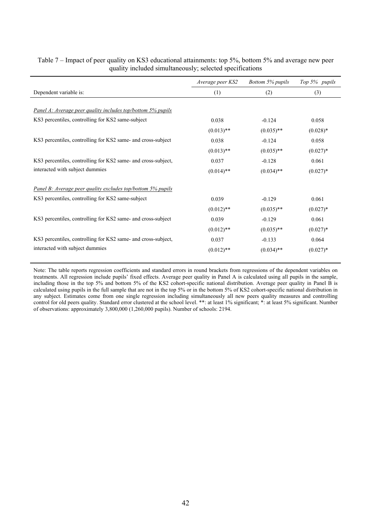|                                                                    | Average peer KS2 | Bottom 5% pupils | Top 5% pupils |
|--------------------------------------------------------------------|------------------|------------------|---------------|
| Dependent variable is:                                             | (1)              | (2)              | (3)           |
|                                                                    |                  |                  |               |
| <u>Panel A: Average peer quality includes top/bottom 5% pupils</u> |                  |                  |               |
| KS3 percentiles, controlling for KS2 same-subject                  | 0.038            | $-0.124$         | 0.058         |
|                                                                    | $(0.013)$ **     | $(0.035)$ **     | $(0.028)*$    |
| KS3 percentiles, controlling for KS2 same- and cross-subject       | 0.038            | $-0.124$         | 0.058         |
|                                                                    | $(0.013)$ **     | $(0.035)$ **     | $(0.027)*$    |
| KS3 percentiles, controlling for KS2 same- and cross-subject,      | 0.037            | $-0.128$         | 0.061         |
| interacted with subject dummies                                    | $(0.014)$ **     | $(0.034)$ **     | $(0.027)^*$   |
| Panel B: Average peer quality excludes top/bottom 5% pupils        |                  |                  |               |
| KS3 percentiles, controlling for KS2 same-subject                  | 0.039            | $-0.129$         | 0.061         |
|                                                                    | $(0.012)$ **     | $(0.035)$ **     | $(0.027)*$    |
| KS3 percentiles, controlling for KS2 same- and cross-subject       | 0.039            | $-0.129$         | 0.061         |
|                                                                    | $(0.012)$ **     | $(0.035)$ **     | $(0.027)*$    |
| KS3 percentiles, controlling for KS2 same- and cross-subject,      | 0.037            | $-0.133$         | 0.064         |
| interacted with subject dummies                                    | $(0.012)$ **     | $(0.034)$ **     | $(0.027)*$    |

# Table 7 – Impact of peer quality on KS3 educational attainments: top 5%, bottom 5% and average new peer quality included simultaneously; selected specifications

Note: The table reports regression coefficients and standard errors in round brackets from regressions of the dependent variables on treatments. All regression include pupils' fixed effects. Average peer quality in Panel A is calculated using all pupils in the sample, including those in the top 5% and bottom 5% of the KS2 cohort-specific national distribution. Average peer quality in Panel B is calculated using pupils in the full sample that are not in the top 5% or in the bottom 5% of KS2 cohort-specific national distribution in any subject. Estimates come from one single regression including simultaneously all new peers quality measures and controlling control for old peers quality. Standard error clustered at the school level. \*\*: at least 1% significant; \*: at least 5% significant. Number of observations: approximately 3,800,000 (1,260,000 pupils). Number of schools: 2194.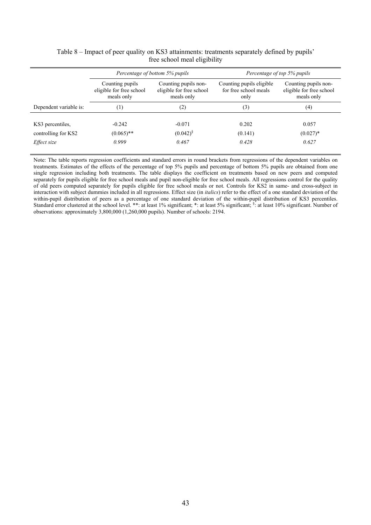|                        |                          | Percentage of bottom 5% pupils | Percentage of top 5% pupils |                          |  |  |
|------------------------|--------------------------|--------------------------------|-----------------------------|--------------------------|--|--|
|                        | Counting pupils          | Counting pupils non-           | Counting pupils eligible    | Counting pupils non-     |  |  |
|                        | eligible for free school | eligible for free school       | for free school meals       | eligible for free school |  |  |
|                        | meals only               | meals only                     | only                        | meals only               |  |  |
| Dependent variable is: | $^{(1)}$                 | (2)                            | (3)                         | (4)                      |  |  |
| KS3 percentiles,       | $-0.242$                 | $-0.071$                       | 0.202                       | 0.057                    |  |  |
| controlling for KS2    | $(0.065)$ **             | $(0.042)^{8}$                  | (0.141)                     | $(0.027)^*$              |  |  |
| Effect size            | 0.999                    | 0.467                          | 0.428                       | 0.627                    |  |  |

# Table 8 – Impact of peer quality on KS3 attainments: treatments separately defined by pupils' free school meal eligibility

Note: The table reports regression coefficients and standard errors in round brackets from regressions of the dependent variables on treatments. Estimates of the effects of the percentage of top 5% pupils and percentage of bottom 5% pupils are obtained from one single regression including both treatments. The table displays the coefficient on treatments based on new peers and computed separately for pupils eligible for free school meals and pupil non-eligible for free school meals. All regressions control for the quality of old peers computed separately for pupils eligible for free school meals or not. Controls for KS2 in same- and cross-subject in interaction with subject dummies included in all regressions. Effect size (in *italics*) refer to the effect of a one standard deviation of the within-pupil distribution of peers as a percentage of one standard deviation of the within-pupil distribution of KS3 percentiles. Standard error clustered at the school level. \*\*: at least 1% significant; \*: at least 5% significant; \$: at least 10% significant. Number of observations: approximately 3,800,000 (1,260,000 pupils). Number of schools: 2194.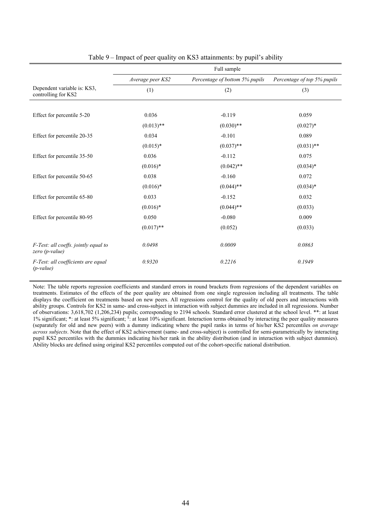|                                                        |                  | Full sample                    |                             |
|--------------------------------------------------------|------------------|--------------------------------|-----------------------------|
|                                                        | Average peer KS2 | Percentage of bottom 5% pupils | Percentage of top 5% pupils |
| Dependent variable is: KS3,<br>controlling for KS2     | (1)              | (2)                            | (3)                         |
|                                                        |                  |                                |                             |
| Effect for percentile 5-20                             | 0.036            | $-0.119$                       | 0.059                       |
|                                                        | $(0.013)$ **     | $(0.030)$ **                   | $(0.027)*$                  |
| Effect for percentile 20-35                            | 0.034            | $-0.101$                       | 0.089                       |
|                                                        | $(0.015)*$       | $(0.037)$ **                   | $(0.031)$ **                |
| Effect for percentile 35-50                            | 0.036            | $-0.112$                       | 0.075                       |
|                                                        | $(0.016)^*$      | $(0.042)$ **                   | $(0.034)*$                  |
| Effect for percentile 50-65                            | 0.038            | $-0.160$                       | 0.072                       |
|                                                        | $(0.016)*$       | $(0.044)$ **                   | $(0.034)*$                  |
| Effect for percentile 65-80                            | 0.033            | $-0.152$                       | 0.032                       |
|                                                        | $(0.016)^*$      | $(0.044)$ **                   | (0.033)                     |
| Effect for percentile 80-95                            | 0.050            | $-0.080$                       | 0.009                       |
|                                                        | $(0.017)$ **     | (0.052)                        | (0.033)                     |
| F-Test: all coeffs. jointly equal to<br>zero (p-value) | 0.0498           | 0.0009                         | 0.0863                      |
| F-Test: all coefficients are equal<br>$(p-value)$      | 0.9320           | 0.2216                         | 0.1949                      |

#### Table 9 – Impact of peer quality on KS3 attainments: by pupil's ability

Note: The table reports regression coefficients and standard errors in round brackets from regressions of the dependent variables on treatments. Estimates of the effects of the peer quality are obtained from one single regression including all treatments. The table displays the coefficient on treatments based on new peers. All regressions control for the quality of old peers and interactions with ability groups. Controls for KS2 in same- and cross-subject in interaction with subject dummies are included in all regressions. Number of observations: 3,618,702 (1,206,234) pupils; corresponding to 2194 schools. Standard error clustered at the school level. \*\*: at least 1% significant; \*: at least 5% significant;  $\frac{1}{2}$  at least 10% significant. Interaction terms obtained by interacting the peer quality measures (separately for old and new peers) with a dummy indicating where the pupil ranks in terms of his/her KS2 percentiles *on average across subjects*. Note that the effect of KS2 achievement (same- and cross-subject) is controlled for semi-parametrically by interacting pupil KS2 percentiles with the dummies indicating his/her rank in the ability distribution (and in interaction with subject dummies). Ability blocks are defined using original KS2 percentiles computed out of the cohort-specific national distribution.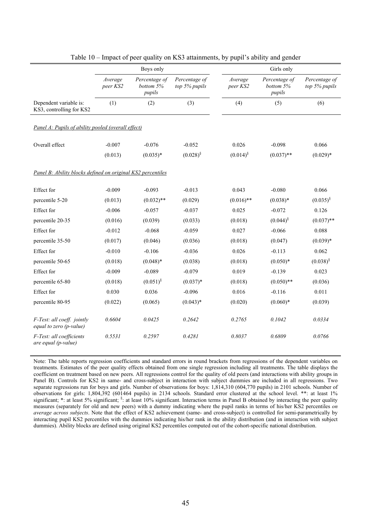|                                                             |                     | Boys only                            |                                |                     | Girls only                           |                                |
|-------------------------------------------------------------|---------------------|--------------------------------------|--------------------------------|---------------------|--------------------------------------|--------------------------------|
|                                                             | Average<br>peer KS2 | Percentage of<br>bottom 5%<br>pupils | Percentage of<br>top 5% pupils | Average<br>peer KS2 | Percentage of<br>bottom 5%<br>pupils | Percentage of<br>top 5% pupils |
| Dependent variable is:<br>KS3, controlling for KS2          | (1)                 | (2)                                  | (3)                            | (4)                 | (5)                                  | (6)                            |
| Panel A: Pupils of ability pooled (overall effect)          |                     |                                      |                                |                     |                                      |                                |
| Overall effect                                              | $-0.007$            | $-0.076$                             | $-0.052$                       | 0.026               | $-0.098$                             | 0.066                          |
|                                                             | (0.013)             | $(0.035)*$                           | $(0.028)^{\S}$                 | $(0.014)^{\S}$      | $(0.037)$ **                         | $(0.029)*$                     |
| Panel B: Ability blocks defined on original KS2 percentiles |                     |                                      |                                |                     |                                      |                                |
| Effect for                                                  | $-0.009$            | $-0.093$                             | $-0.013$                       | 0.043               | $-0.080$                             | 0.066                          |
| percentile 5-20                                             | (0.013)             | $(0.032)$ **                         | (0.029)                        | $(0.016)$ **        | $(0.038)*$                           | $(0.035)^{\S}$                 |
| Effect for                                                  | $-0.006$            | $-0.057$                             | $-0.037$                       | 0.025               | $-0.072$                             | 0.126                          |
| percentile 20-35                                            | (0.016)             | (0.039)                              | (0.033)                        | (0.018)             | $(0.044)^{\S}$                       | $(0.037)$ **                   |
| Effect for                                                  | $-0.012$            | $-0.068$                             | $-0.059$                       | 0.027               | $-0.066$                             | 0.088                          |
| percentile 35-50                                            | (0.017)             | (0.046)                              | (0.036)                        | (0.018)             | (0.047)                              | $(0.039)*$                     |
| Effect for                                                  | $-0.010$            | $-0.106$                             | $-0.036$                       | 0.026               | $-0.113$                             | 0.062                          |
| percentile 50-65                                            | (0.018)             | $(0.048)$ *                          | (0.038)                        | (0.018)             | $(0.050)*$                           | $(0.038)^{\S}$                 |
| Effect for                                                  | $-0.009$            | $-0.089$                             | $-0.079$                       | 0.019               | $-0.139$                             | 0.023                          |
| percentile 65-80                                            | (0.018)             | $(0.051)^{\S}$                       | $(0.037)^*$                    | (0.018)             | $(0.050)$ **                         | (0.036)                        |
| Effect for                                                  | 0.030               | 0.036                                | $-0.096$                       | 0.016               | $-0.116$                             | 0.011                          |
| percentile 80-95                                            | (0.022)             | (0.065)                              | $(0.043)*$                     | (0.020)             | $(0.060)*$                           | (0.039)                        |
| F-Test: all coeff. jointly<br>equal to zero (p-value)       | 0.6604              | 0.0425                               | 0.2642                         | 0.2765              | 0.1042                               | 0.0334                         |
| F-Test: all coefficients<br>are equal (p-value)             | 0.5531              | 0.2597                               | 0.4281                         | 0.8037              | 0.6809                               | 0.0766                         |

Table 10 – Impact of peer quality on KS3 attainments, by pupil's ability and gender

Note: The table reports regression coefficients and standard errors in round brackets from regressions of the dependent variables on treatments. Estimates of the peer quality effects obtained from one single regression including all treatments. The table displays the coefficient on treatment based on new peers. All regressions control for the quality of old peers (and interactions with ability groups in Panel B). Controls for KS2 in same- and cross-subject in interaction with subject dummies are included in all regressions. Two separate regressions run for boys and girls. Number of observations for boys: 1,814,310 (604,770 pupils) in 2101 schools. Number of observations for girls: 1,804,392 (601464 pupils) in 2134 schools. Standard error clustered at the school level. \*\*: at least 1% significant; \*: at least 5% significant; <sup>§</sup>: at least 10% significant. Interaction terms in Panel B obtained by interacting the peer quality measures (separately for old and new peers) with a dummy indicating where the pupil ranks in terms of his/her KS2 percentiles *on average across subjects*. Note that the effect of KS2 achievement (same- and cross-subject) is controlled for semi-parametrically by interacting pupil KS2 percentiles with the dummies indicating his/her rank in the ability distribution (and in interaction with subject dummies). Ability blocks are defined using original KS2 percentiles computed out of the cohort-specific national distribution.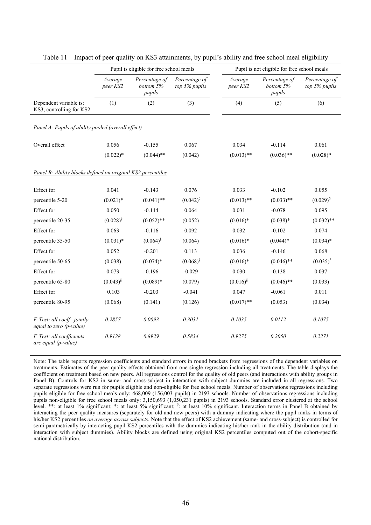|                                                             |                     | Pupil is eligible for free school meals |                                |                     | Pupil is not eligible for free school meals |                                |  |  |  |  |
|-------------------------------------------------------------|---------------------|-----------------------------------------|--------------------------------|---------------------|---------------------------------------------|--------------------------------|--|--|--|--|
|                                                             | Average<br>peer KS2 | Percentage of<br>bottom 5%<br>pupils    | Percentage of<br>top 5% pupils | Average<br>peer KS2 | Percentage of<br>bottom 5%<br>pupils        | Percentage of<br>top 5% pupils |  |  |  |  |
| Dependent variable is:<br>KS3, controlling for KS2          | (1)                 | (2)                                     | (3)                            | (4)                 | (5)                                         | (6)                            |  |  |  |  |
| Panel A: Pupils of ability pooled (overall effect)          |                     |                                         |                                |                     |                                             |                                |  |  |  |  |
| Overall effect                                              | 0.056               | $-0.155$                                | 0.067                          | 0.034               | $-0.114$                                    | 0.061                          |  |  |  |  |
|                                                             | $(0.022)*$          | $(0.044)$ **                            | (0.042)                        | $(0.013)$ **        | $(0.036)$ **                                | $(0.028)*$                     |  |  |  |  |
| Panel B: Ability blocks defined on original KS2 percentiles |                     |                                         |                                |                     |                                             |                                |  |  |  |  |
| Effect for                                                  | 0.041               | $-0.143$                                | 0.076                          | 0.033               | $-0.102$                                    | 0.055                          |  |  |  |  |
| percentile 5-20                                             | $(0.021)$ *         | $(0.041)$ **                            | $(0.042)^{\$}$                 | $(0.013)$ **        | $(0.033)$ **                                | $(0.029)^{\S}$                 |  |  |  |  |
| Effect for                                                  | 0.050               | $-0.144$                                | 0.064                          | 0.031               | $-0.078$                                    | 0.095                          |  |  |  |  |
| percentile 20-35                                            | $(0.028)^{\S}$      | $(0.052)$ **                            | (0.052)                        | $(0.016)$ *         | $(0.038)*$                                  | $(0.032)$ **                   |  |  |  |  |
| Effect for                                                  | 0.063               | $-0.116$                                | 0.092                          | 0.032               | $-0.102$                                    | 0.074                          |  |  |  |  |
| percentile 35-50                                            | $(0.031)*$          | $(0.064)^{\S}$                          | (0.064)                        | $(0.016)*$          | $(0.044)*$                                  | $(0.034)*$                     |  |  |  |  |
| Effect for                                                  | 0.052               | $-0.201$                                | 0.113                          | 0.036               | $-0.146$                                    | 0.068                          |  |  |  |  |
| percentile 50-65                                            | (0.038)             | $(0.074)*$                              | $(0.068)^{\S}$                 | $(0.016)$ *         | $(0.046)$ **                                | $(0.035)^*$                    |  |  |  |  |
| Effect for                                                  | 0.073               | $-0.196$                                | $-0.029$                       | 0.030               | $-0.138$                                    | 0.037                          |  |  |  |  |
| percentile 65-80                                            | $(0.043)^{\S}$      | $(0.089)*$                              | (0.079)                        | $(0.016)^{\S}$      | $(0.046)$ **                                | (0.033)                        |  |  |  |  |
| Effect for                                                  | 0.103               | $-0.203$                                | $-0.041$                       | 0.047               | $-0.061$                                    | 0.011                          |  |  |  |  |
| percentile 80-95                                            | (0.068)             | (0.141)                                 | (0.126)                        | $(0.017)$ **        | (0.053)                                     | (0.034)                        |  |  |  |  |
| F-Test: all coeff. jointly<br>equal to zero (p-value)       | 0.2857              | 0.0093                                  | 0.3031                         | 0.1035              | 0.0112                                      | 0.1075                         |  |  |  |  |
| F-Test: all coefficients<br>are equal (p-value)             | 0.9128              | 0.8929                                  | 0.5834                         | 0.9275              | 0.2050                                      | 0.2271                         |  |  |  |  |

|  |  |  |  |  |  |  |  | Table 11 – Impact of peer quality on KS3 attainments, by pupil's ability and free school meal eligibility |
|--|--|--|--|--|--|--|--|-----------------------------------------------------------------------------------------------------------|
|--|--|--|--|--|--|--|--|-----------------------------------------------------------------------------------------------------------|

Note: The table reports regression coefficients and standard errors in round brackets from regressions of the dependent variables on treatments. Estimates of the peer quality effects obtained from one single regression including all treatments. The table displays the coefficient on treatment based on new peers. All regressions control for the quality of old peers (and interactions with ability groups in Panel B). Controls for KS2 in same- and cross-subject in interaction with subject dummies are included in all regressions. Two separate regressions were run for pupils eligible and non-eligible for free school meals. Number of observations regressions including pupils eligible for free school meals only: 468,009 (156,003 pupils) in 2193 schools. Number of observations regressions including pupils non-eligible for free school meals only: 3,150,693 (1,050,231 pupils) in 2193 schools. Standard error clustered at the school level. \*\*: at least 1% significant; \*: at least 5% significant; §: at least 10% significant. Interaction terms in Panel B obtained by interacting the peer quality measures (separately for old and new peers) with a dummy indicating where the pupil ranks in terms of his/her KS2 percentiles *on average across subjects*. Note that the effect of KS2 achievement (same- and cross-subject) is controlled for semi-parametrically by interacting pupil KS2 percentiles with the dummies indicating his/her rank in the ability distribution (and in interaction with subject dummies). Ability blocks are defined using original KS2 percentiles computed out of the cohort-specific national distribution.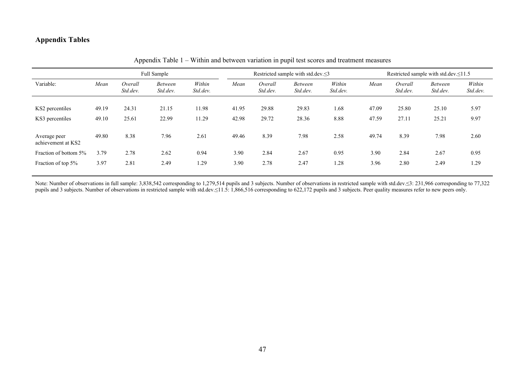# **Appendix Tables**

|                                    |       |                     | Full Sample                |                    |       | Restricted sample with std.dev.≤3 |                            |                    |       | Restricted sample with std.dev.  st1.5 |                            |                    |  |
|------------------------------------|-------|---------------------|----------------------------|--------------------|-------|-----------------------------------|----------------------------|--------------------|-------|----------------------------------------|----------------------------|--------------------|--|
| Variable:                          | Mean  | Overall<br>Std.dev. | <b>Between</b><br>Std.dev. | Within<br>Std.dev. | Mean  | Overall<br>Std.dev.               | <b>Between</b><br>Std.dev. | Within<br>Std.dev. | Mean  | Overall<br>Std.dev.                    | <b>Between</b><br>Std.dev. | Within<br>Std.dev. |  |
| KS2 percentiles                    | 49.19 | 24.31               | 21.15                      | 11.98              | 41.95 | 29.88                             | 29.83                      | 1.68               | 47.09 | 25.80                                  | 25.10                      | 5.97               |  |
| KS3 percentiles                    | 49.10 | 25.61               | 22.99                      | 11.29              | 42.98 | 29.72                             | 28.36                      | 8.88               | 47.59 | 27.11                                  | 25.21                      | 9.97               |  |
| Average peer<br>achievement at KS2 | 49.80 | 8.38                | 7.96                       | 2.61               | 49.46 | 8.39                              | 7.98                       | 2.58               | 49.74 | 8.39                                   | 7.98                       | 2.60               |  |
| Fraction of bottom 5%              | 3.79  | 2.78                | 2.62                       | 0.94               | 3.90  | 2.84                              | 2.67                       | 0.95               | 3.90  | 2.84                                   | 2.67                       | 0.95               |  |
| Fraction of top 5%                 | 3.97  | 2.81                | 2.49                       | .29                | 3.90  | 2.78                              | 2.47                       | 1.28               | 3.96  | 2.80                                   | 2.49                       | 1.29               |  |

Appendix Table 1 – Within and between variation in pupil test scores and treatment measures

Note: Number of observations in full sample: 3,838,542 corresponding to 1,279,514 pupils and 3 subjects. Number of observations in restricted sample with std.dev.≤3: 231,966 corresponding to 77,322 pupils and 3 subjects. Number of observations in restricted sample with std.dev.≤11.5: 1,866,516 corresponding to 622,172 pupils and 3 subjects. Peer quality measures refer to new peers only.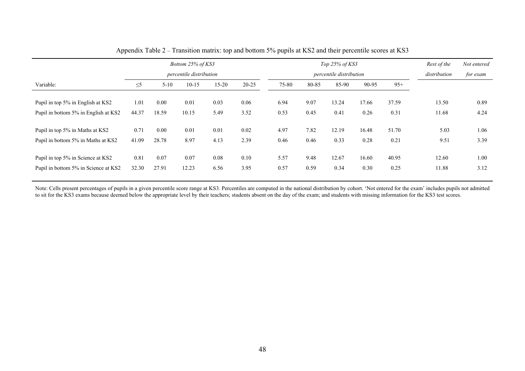|                                      | Bottom 25% of KS3 |                         |         |           | Top $25%$ of KS3 |       |                         |              |          | Rest of the | Not entered |      |
|--------------------------------------|-------------------|-------------------------|---------|-----------|------------------|-------|-------------------------|--------------|----------|-------------|-------------|------|
|                                      |                   | percentile distribution |         |           |                  |       | percentile distribution | distribution | for exam |             |             |      |
| Variable:                            | $\leq$ 5          | $5 - 10$                | $10-15$ | $15 - 20$ | $20 - 25$        | 75-80 | 80-85                   | 85-90        | 90-95    | $95+$       |             |      |
| Pupil in top 5% in English at KS2    | 1.01              | 0.00                    | 0.01    | 0.03      | 0.06             | 6.94  | 9.07                    | 13.24        | 17.66    | 37.59       | 13.50       | 0.89 |
| Pupil in bottom 5% in English at KS2 | 44.37             | 18.59                   | 10.15   | 5.49      | 3.52             | 0.53  | 0.45                    | 0.41         | 0.26     | 0.31        | 11.68       | 4.24 |
| Pupil in top 5% in Maths at KS2      | 0.71              | 0.00                    | 0.01    | 0.01      | 0.02             | 4.97  | 7.82                    | 12.19        | 16.48    | 51.70       | 5.03        | 1.06 |
| Pupil in bottom 5% in Maths at KS2   | 41.09             | 28.78                   | 8.97    | 4.13      | 2.39             | 0.46  | 0.46                    | 0.33         | 0.28     | 0.21        | 9.51        | 3.39 |
| Pupil in top 5% in Science at KS2    | 0.81              | 0.07                    | 0.07    | 0.08      | 0.10             | 5.57  | 9.48                    | 12.67        | 16.60    | 40.95       | 12.60       | 1.00 |
| Pupil in bottom 5% in Science at KS2 | 32.30             | 27.91                   | 12.23   | 6.56      | 3.95             | 0.57  | 0.59                    | 0.34         | 0.30     | 0.25        | 11.88       | 3.12 |

Appendix Table 2 – Transition matrix: top and bottom 5% pupils at KS2 and their percentile scores at KS3

Note: Cells present percentages of pupils in a given percentile score range at KS3. Percentiles are computed in the national distribution by cohort. 'Not entered for the exam' includes pupils not admitted to sit for the KS3 exams because deemed below the appropriate level by their teachers; students absent on the day of the exam; and students with missing information for the KS3 test scores.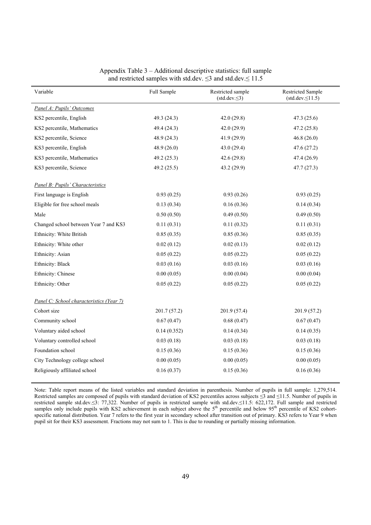| Variable                                 | Full Sample  | Restricted sample<br>$(std. dev. \leq 3)$ | <b>Restricted Sample</b><br>$(stat. dev \le 11.5)$ |
|------------------------------------------|--------------|-------------------------------------------|----------------------------------------------------|
| Panel A: Pupils' Outcomes                |              |                                           |                                                    |
| KS2 percentile, English                  | 49.3 (24.3)  | 42.0(29.8)                                | 47.3(25.6)                                         |
| KS2 percentile, Mathematics              | 49.4 (24.3)  | 42.0 (29.9)                               | 47.2 (25.8)                                        |
| KS2 percentile, Science                  | 48.9 (24.3)  | 41.9 (29.9)                               | 46.8(26.0)                                         |
| KS3 percentile, English                  | 48.9 (26.0)  | 43.0(29.4)                                | 47.6(27.2)                                         |
| KS3 percentile, Mathematics              | 49.2 (25.3)  | 42.6 (29.8)                               | 47.4 (26.9)                                        |
| KS3 percentile, Science                  | 49.2 (25.5)  | 43.2 (29.9)                               | 47.7(27.3)                                         |
| Panel B: Pupils' Characteristics         |              |                                           |                                                    |
| First language is English                | 0.93(0.25)   | 0.93(0.26)                                | 0.93(0.25)                                         |
| Eligible for free school meals           | 0.13(0.34)   | 0.16(0.36)                                | 0.14(0.34)                                         |
| Male                                     | 0.50(0.50)   | 0.49(0.50)                                | 0.49(0.50)                                         |
| Changed school between Year 7 and KS3    | 0.11(0.31)   | 0.11(0.32)                                | 0.11(0.31)                                         |
| Ethnicity: White British                 | 0.85(0.35)   | 0.85(0.36)                                | 0.85(0.35)                                         |
| Ethnicity: White other                   | 0.02(0.12)   | 0.02(0.13)                                | 0.02(0.12)                                         |
| Ethnicity: Asian                         | 0.05(0.22)   | 0.05(0.22)                                | 0.05(0.22)                                         |
| Ethnicity: Black                         | 0.03(0.16)   | 0.03(0.16)                                | 0.03(0.16)                                         |
| Ethnicity: Chinese                       | 0.00(0.05)   | 0.00(0.04)                                | 0.00(0.04)                                         |
| Ethnicity: Other                         | 0.05(0.22)   | 0.05(0.22)                                | 0.05(0.22)                                         |
| Panel C: School characteristics (Year 7) |              |                                           |                                                    |
| Cohort size                              | 201.7 (57.2) | 201.9 (57.4)                              | 201.9 (57.2)                                       |
| Community school                         | 0.67(0.47)   | 0.68(0.47)                                | 0.67(0.47)                                         |
| Voluntary aided school                   | 0.14(0.352)  | 0.14(0.34)                                | 0.14(0.35)                                         |
| Voluntary controlled school              | 0.03(0.18)   | 0.03(0.18)                                | 0.03(0.18)                                         |
| Foundation school                        | 0.15(0.36)   | 0.15(0.36)                                | 0.15(0.36)                                         |
| City Technology college school           | 0.00(0.05)   | 0.00(0.05)                                | 0.00(0.05)                                         |
| Religiously affiliated school            | 0.16(0.37)   | 0.15(0.36)                                | 0.16(0.36)                                         |

#### Appendix Table 3 – Additional descriptive statistics: full sample and restricted samples with std.dev.  $\leq$ 3 and std.dev. $\leq$  11.5

Note: Table report means of the listed variables and standard deviation in parenthesis. Number of pupils in full sample: 1,279,514. Restricted samples are composed of pupils with standard deviation of KS2 percentiles across subjects ≤3 and ≤11.5. Number of pupils in restricted sample std.dev.≤3: 77,322. Number of pupils in restricted sample with std.dev.≤11.5: 622,172. Full sample and restricted samples only include pupils with KS2 achievement in each subject above the  $5<sup>th</sup>$  percentile and below  $95<sup>th</sup>$  percentile of KS2 cohortspecific national distribution. Year 7 refers to the first year in secondary school after transition out of primary. KS3 refers to Year 9 when pupil sit for their KS3 assessment. Fractions may not sum to 1. This is due to rounding or partially missing information.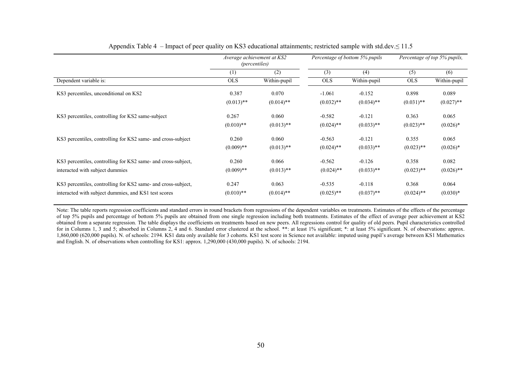|                                                               | Average achievement at KS2<br><i>(percentiles)</i> |              |              | Percentage of bottom 5% pupils | Percentage of top 5% pupils, |              |
|---------------------------------------------------------------|----------------------------------------------------|--------------|--------------|--------------------------------|------------------------------|--------------|
|                                                               | (1)                                                | (2)          | (3)          | (4)                            | (5)                          | (6)          |
| Dependent variable is:                                        | <b>OLS</b>                                         | Within-pupil | <b>OLS</b>   | Within-pupil                   | <b>OLS</b>                   | Within-pupil |
| KS3 percentiles, unconditional on KS2                         | 0.387                                              | 0.070        | $-1.061$     | $-0.152$                       | 0.898                        | 0.089        |
|                                                               | $(0.013)$ **                                       | $(0.014)$ ** | $(0.032)$ ** | $(0.034)$ **                   | $(0.031)$ **                 | $(0.027)$ ** |
| KS3 percentiles, controlling for KS2 same-subject             | 0.267                                              | 0.060        | $-0.582$     | $-0.121$                       | 0.363                        | 0.065        |
|                                                               | $(0.010)$ **                                       | $(0.013)$ ** | $(0.024)$ ** | $(0.033)$ **                   | $(0.023)$ **                 | $(0.026)^*$  |
| KS3 percentiles, controlling for KS2 same- and cross-subject  | 0.260                                              | 0.060        | $-0.563$     | $-0.121$                       | 0.355                        | 0.065        |
|                                                               | $(0.009)$ **                                       | $(0.013)$ ** | $(0.024)$ ** | $(0.033)$ **                   | $(0.023)$ **                 | $(0.026)^*$  |
| KS3 percentiles, controlling for KS2 same- and cross-subject, | 0.260                                              | 0.066        | $-0.562$     | $-0.126$                       | 0.358                        | 0.082        |
| interacted with subject dummies                               | $(0.009)$ **                                       | $(0.013)$ ** | $(0.024)$ ** | $(0.033)$ **                   | $(0.023)$ **                 | $(0.026)$ ** |
| KS3 percentiles, controlling for KS2 same- and cross-subject, | 0.247                                              | 0.063        | $-0.535$     | $-0.118$                       | 0.368                        | 0.064        |
| interacted with subject dummies, and KS1 test scores          | $(0.010)$ **                                       | $(0.014)$ ** | $(0.025)$ ** | $(0.037)$ **                   | $(0.024)$ **                 | $(0.030)*$   |

#### Appendix Table 4 – Impact of peer quality on KS3 educational attainments; restricted sample with std.dev.  $\leq 11.5$

Note: The table reports regression coefficients and standard errors in round brackets from regressions of the dependent variables on treatments. Estimates of the effects of the percentage of top 5% pupils and percentage of bottom 5% pupils are obtained from one single regression including both treatments. Estimates of the effect of average peer achievement at KS2 obtained from a separate regression. The table displays the coefficients on treatments based on new peers. All regressions control for quality of old peers. Pupil characteristics controlled for in Columns 1, 3 and 5; absorbed in Columns 2, 4 and 6. Standard error clustered at the school. \*\*: at least 1% significant; \*: at least 5% significant. N. of observations: approx. 1,860,000 (620,000 pupils). N. of schools: 2194. KS1 data only available for 3 cohorts. KS1 test score in Science not available: imputed using pupil's average between KS1 Mathematics and English. N. of observations when controlling for KS1: approx. 1,290,000 (430,000 pupils). N. of schools: 2194.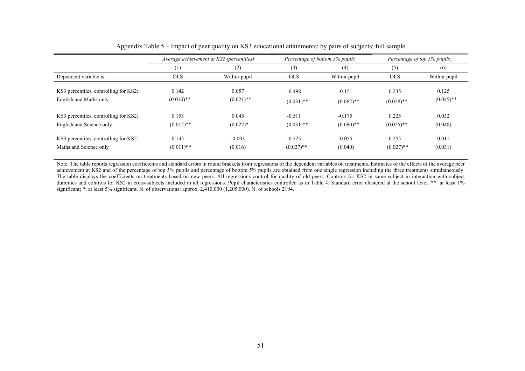|                                       | Average achievement at KS2 (percentiles) |              |              | Percentage of bottom 5% pupils | Percentage of top 5% pupils, |              |  |
|---------------------------------------|------------------------------------------|--------------|--------------|--------------------------------|------------------------------|--------------|--|
|                                       | (1)                                      | (2)          | (3)          | (4)                            | (5)                          | (6)          |  |
| Dependent variable is:                | <b>OLS</b>                               | Within-pupil | <b>OLS</b>   | Within-pupil                   | <b>OLS</b>                   | Within-pupil |  |
| KS3 percentiles, controlling for KS2: | 0.142                                    | 0.057        | $-0.498$     | $-0.151$                       | 0.235                        | 0.125        |  |
| English and Maths only                | $(0.010)$ **                             | $(0.021)$ ** | $(0.031)$ ** | $(0.062)$ **                   | $(0.028)$ **                 | $(0.045)$ ** |  |
| KS3 percentiles, controlling for KS2: | 0.153                                    | 0.045        | $-0.511$     | $-0.175$                       | 0.225                        | 0.032        |  |
| English and Science only              | $(0.012)$ **                             | $(0.022)*$   | $(0.031)$ ** | $(0.060)$ **                   | $(0.025)$ **                 | (0.048)      |  |
| KS3 percentiles, controlling for KS2: | 0.145                                    | $-0.003$     | $-0.525$     | $-0.055$                       | 0.255                        | 0.011        |  |
| Maths and Science only                | $(0.011)$ **                             | (0.016)      | $(0.027)$ ** | (0.040)                        | $(0.027)$ **                 | (0.031)      |  |

Appendix Table 5 – Impact of peer quality on KS3 educational attainments: by pairs of subjects; full sample

Note: The table reports regression coefficients and standard errors in round brackets from regressions of the dependent variables on treatments. Estimates of the effects of the average peer achievement at KS2 and of the percentage of top 5% pupils and percentage of bottom 5% pupils are obtained from one single regression including the three treatments simultaneously. The table displays the coefficients on treatments based on new peers. All regressions control for quality of old peers. Controls for KS2 in same subject in interaction with subject dummies and controls for KS2 in cross-subjects included in all regressions. Pupil characteristics controlled as in Table 4. Standard error clustered at the school level. \*\*: at least 1% significant; \*: at least 5% significant. N. of observations: approx. 2,410,000 (1,205,000). N. of schools 2194.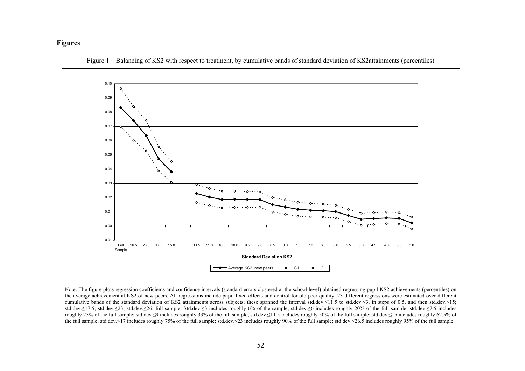#### **Figures**



Figure 1 – Balancing of KS2 with respect to treatment, by cumulative bands of standard deviation of KS2attainments (percentiles)

Note: The figure plots regression coefficients and confidence intervals (standard errors clustered at the school level) obtained regressing pupil KS2 achievements (percentiles) on the average achievement at KS2 of new peers. All regressions include pupil fixed effects and control for old peer quality. 23 different regressions were estimated over different cumulative bands of the standard deviation of KS2 attainments across subjects; these spanned the interval std.dev.≤11.5 to std.dev.≤3, in steps of 0.5, and then std.dev.≤15; std.dev.≤17.5; std.dev.≤23; std.dev.≤26; full sample. Std.dev.≤3 includes roughly 6% of the sample; std.dev.≤6 includes roughly 20% of the full sample; std.dev.≤7.5 includes roughly 25% of the full sample; std.dev.≤9 includes roughly 33% of the full sample; std.dev.≤11.5 includes roughly 50% of the full sample; std.dev.≤15 includes roughly 62.5% of the full sample; std.dev.≤17 includes roughly 75% of the full sample; std.dev.≤23 includes roughly 90% of the full sample; std.dev.≤26.5 includes roughly 95% of the full sample.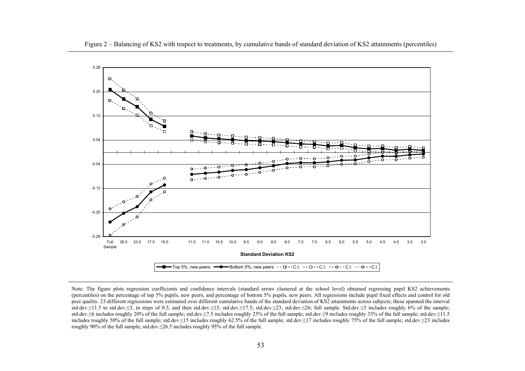

Note: The figure plots regression coefficients and confidence intervals (standard errors clustered at the school level) obtained regressing pupil KS2 achievements (percentiles) on the percentage of top 5% pupils, new peers, and percentage of bottom 5% pupils, new peers. All regressions include pupil fixed effects and control for old peer quality. 23 different regressions were estimated over different cumulative bands of the standard deviation of KS2 attainments across subjects; these spanned the interval std.dev.≤11.5 to std.dev.≤3, in steps of 0.5, and then std.dev.≤15; std.dev.≤17.5; std.dev.≤23; std.dev.≤26; full sample. Std.dev.≤3 includes roughly 6% of the sample; std.dev.≤6 includes roughly 20% of the full sample; std.dev.≤7.5 includes roughly 25% of the full sample; std.dev.≤9 includes roughly 33% of the full sample; std.dev.≤11.5 includes roughly 50% of the full sample; std.dev.≤15 includes roughly 62.5% of the full sample; std.dev.≤17 includes roughly 75% of the full sample; std.dev.≤23 includes roughly 90% of the full sample; std.dev.≤26.5 includes roughly 95% of the full sample.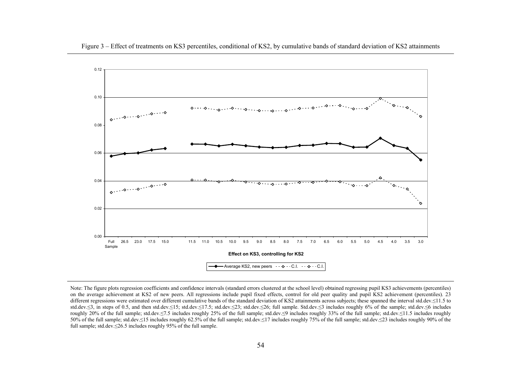

Note: The figure plots regression coefficients and confidence intervals (standard errors clustered at the school level) obtained regressing pupil KS3 achievements (percentiles) on the average achievement at KS2 of new peers. All regressions include pupil fixed effects, control for old peer quality and pupil KS2 achievement (percentiles). 23 different regressions were estimated over different cumulative bands of the standard deviation of KS2 attainments across subjects; these spanned the interval std.dev.≤11.5 to std.dev.≤3, in steps of 0.5, and then std.dev.≤15; std.dev.≤17.5; std.dev.≤23; std.dev.≤26; full sample. Std.dev.≤3 includes roughly 6% of the sample; std.dev.≤6 includes roughly 20% of the full sample; std.dev.≤7.5 includes roughly 25% of the full sample; std.dev.≤9 includes roughly 33% of the full sample; std.dev.≤11.5 includes roughly 50% of the full sample; std.dev.≤15 includes roughly 62.5% of the full sample; std.dev.≤17 includes roughly 75% of the full sample; std.dev.≤23 includes roughly 90% of the full sample; std.dev.≤26.5 includes roughly 95% of the full sample.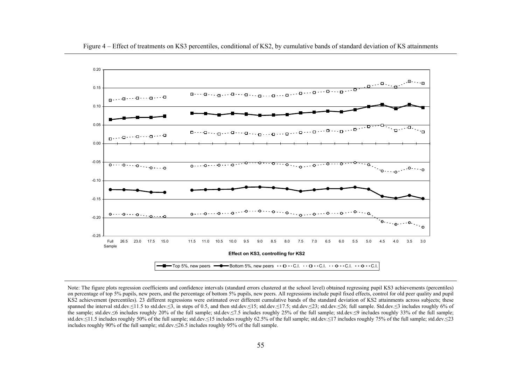

Note: The figure plots regression coefficients and confidence intervals (standard errors clustered at the school level) obtained regressing pupil KS3 achievements (percentiles) on percentage of top 5% pupils, new peers, and the percentage of bottom 5% pupils, new peers. All regressions include pupil fixed effects, control for old peer quality and pupil KS2 achievement (percentiles). 23 different regressions were estimated over different cumulative bands of the standard deviation of KS2 attainments across subjects; these spanned the interval std.dev.≤11.5 to std.dev.≤3, in steps of 0.5, and then std.dev.≤15; std.dev.≤17.5; std.dev.≤23; std.dev.≤26; full sample. Std.dev.≤3 includes roughly 6% of the sample; std.dev.≤6 includes roughly 20% of the full sample; std.dev.≤7.5 includes roughly 25% of the full sample; std.dev.≤9 includes roughly 33% of the full sample; std.dev.≤11.5 includes roughly 50% of the full sample; std.dev.≤15 includes roughly 62.5% of the full sample; std.dev.≤17 includes roughly 75% of the full sample; std.dev.≤23 includes roughly 90% of the full sample; std.dev.≤26.5 includes roughly 95% of the full sample.